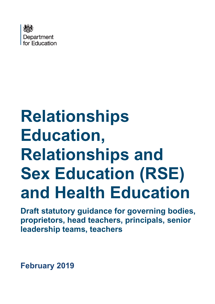

# **Relationships Education, Relationships and Sex Education (RSE) and Health Education**

**Draft statutory guidance for governing bodies, proprietors, head teachers, principals, senior leadership teams, teachers**

**February 2019**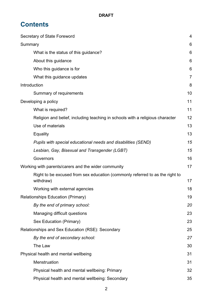# **Contents**

| Secretary of State Foreword                                                               | 4              |
|-------------------------------------------------------------------------------------------|----------------|
| Summary                                                                                   | 6              |
| What is the status of this guidance?                                                      | 6              |
| About this guidance                                                                       | 6              |
| Who this guidance is for                                                                  | 6              |
| What this guidance updates                                                                | $\overline{7}$ |
| Introduction                                                                              | 8              |
| Summary of requirements                                                                   | 10             |
| Developing a policy                                                                       | 11             |
| What is required?                                                                         | 11             |
| Religion and belief, including teaching in schools with a religious character             | 12             |
| Use of materials                                                                          | 13             |
| Equality                                                                                  | 13             |
| Pupils with special educational needs and disabilities (SEND)                             | 15             |
| Lesbian, Gay, Bisexual and Transgender (LGBT)                                             | 15             |
| Governors                                                                                 | 16             |
| Working with parents/carers and the wider community                                       | 17             |
| Right to be excused from sex education (commonly referred to as the right to<br>withdraw) | 17             |
| Working with external agencies                                                            | 18             |
| <b>Relationships Education (Primary)</b>                                                  | 19             |
| By the end of primary school:                                                             | 20             |
| Managing difficult questions                                                              | 23             |
| Sex Education (Primary)                                                                   | 23             |
| Relationships and Sex Education (RSE): Secondary                                          | 25             |
| By the end of secondary school:                                                           | 27             |
| The Law                                                                                   | 30             |
| Physical health and mental wellbeing                                                      | 31             |
| Menstruation                                                                              | 31             |
| Physical health and mental wellbeing: Primary                                             | 32             |
| Physical health and mental wellbeing: Secondary                                           | 35             |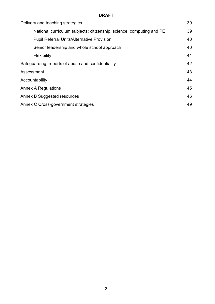| Delivery and teaching strategies                                     | 39 |
|----------------------------------------------------------------------|----|
| National curriculum subjects: citizenship, science, computing and PE | 39 |
| <b>Pupil Referral Units/Alternative Provision</b>                    | 40 |
| Senior leadership and whole school approach                          | 40 |
| Flexibility                                                          | 41 |
| Safeguarding, reports of abuse and confidentiality                   |    |
| Assessment                                                           |    |
| Accountability                                                       |    |
| <b>Annex A Regulations</b>                                           | 45 |
| Annex B Suggested resources                                          | 46 |
| Annex C Cross-government strategies                                  | 49 |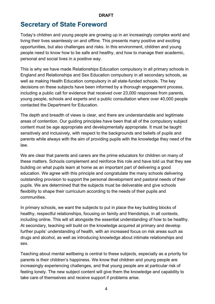# <span id="page-3-0"></span>**Secretary of State Foreword**

Today's children and young people are growing up in an increasingly complex world and living their lives seamlessly on and offline. This presents many positive and exciting opportunities, but also challenges and risks. In this environment, children and young people need to know how to be safe and healthy, and how to manage their academic, personal and social lives in a positive way.

This is why we have made Relationships Education compulsory in all primary schools in England and Relationships and Sex Education compulsory in all secondary schools, as well as making Health Education compulsory in all state-funded schools. The key decisions on these subjects have been informed by a thorough engagement process, including a public call for evidence that received over 23,000 responses from parents, young people, schools and experts and a public consultation where over 40,000 people contacted the Department for Education.

The depth and breadth of views is clear, and there are understandable and legitimate areas of contention. Our guiding principles have been that all of the compulsory subject content must be age appropriate and developmentally appropriate. It must be taught sensitively and inclusively, with respect to the backgrounds and beliefs of pupils and parents while always with the aim of providing pupils with the knowledge they need of the law.

We are clear that parents and carers are the prime educators for children on many of these matters. Schools complement and reinforce this role and have told us that they see building on what pupils learn at home as an important part of delivering a good education. We agree with this principle and congratulate the many schools delivering outstanding provision to support the personal development and pastoral needs of their pupils. We are determined that the subjects must be deliverable and give schools flexibility to shape their curriculum according to the needs of their pupils and communities.

In primary schools, we want the subjects to put in place the key building blocks of healthy, respectful relationships, focusing on family and friendships, in all contexts, including online. This will sit alongside the essential understanding of how to be healthy. At secondary, teaching will build on the knowledge acquired at primary and develop further pupils' understanding of health, with an increased focus on risk areas such as drugs and alcohol, as well as introducing knowledge about intimate relationships and sex.

Teaching about mental wellbeing is central to these subjects, especially as a priority for parents is their children's happiness. We know that children and young people are increasingly experiencing challenges, and that young people are at particular risk of feeling lonely. The new subject content will give them the knowledge and capability to take care of themselves and receive support if problems arise.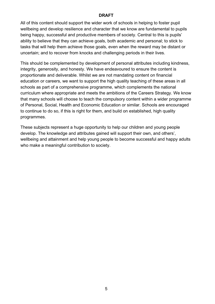All of this content should support the wider work of schools in helping to foster pupil wellbeing and develop resilience and character that we know are fundamental to pupils being happy, successful and productive members of society. Central to this is pupils' ability to believe that they can achieve goals, both academic and personal; to stick to tasks that will help them achieve those goals, even when the reward may be distant or uncertain; and to recover from knocks and challenging periods in their lives.

This should be complemented by development of personal attributes including kindness, integrity, generosity, and honesty. We have endeavoured to ensure the content is proportionate and deliverable. Whilst we are not mandating content on financial education or careers, we want to support the high quality teaching of these areas in all schools as part of a comprehensive programme, which complements the national curriculum where appropriate and meets the ambitions of the Careers Strategy. We know that many schools will choose to teach the compulsory content within a wider programme of Personal, Social, Health and Economic Education or similar. Schools are encouraged to continue to do so, if this is right for them, and build on established, high quality programmes.

These subjects represent a huge opportunity to help our children and young people develop. The knowledge and attributes gained will support their own, and others', wellbeing and attainment and help young people to become successful and happy adults who make a meaningful contribution to society.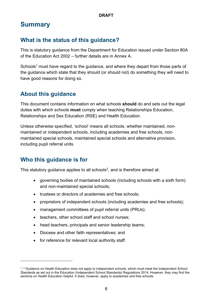# <span id="page-5-0"></span>**Summary**

### <span id="page-5-1"></span>**What is the status of this guidance?**

This is statutory guidance from the Department for Education issued under Section 80A of the Education Act 2002 – further details are in Annex A.

Schools<sup>1</sup> must have regard to the guidance, and where they depart from those parts of the guidance which state that they should (or should not) do something they will need to have good reasons for doing so.

### <span id="page-5-2"></span>**About this guidance**

This document contains information on what schools **should** do and sets out the legal duties with which schools **must** comply when teaching Relationships Education, Relationships and Sex Education (RSE) and Health Education.

Unless otherwise specified, 'school' means all schools, whether maintained, nonmaintained or independent schools, including academies and free schools, nonmaintained special schools, maintained special schools and alternative provision, including pupil referral units.

### <span id="page-5-3"></span>**Who this guidance is for**

 $\overline{a}$ 

This statutory quidance applies to all schools<sup>2</sup>, and is therefore aimed at:

- governing bodies of maintained schools (including schools with a sixth form) and non-maintained special schools;
- trustees or directors of academies and free schools;
- proprietors of independent schools (including academies and free schools);
- management committees of pupil referral units (PRUs);
- teachers, other school staff and school nurses;
- head teachers, principals and senior leadership teams;
- Diocese and other faith representatives; and
- for reference for relevant local authority staff.

 $1, 2$  Guidance on Health Education does not apply to independent schools, which must meet the Independent School Standards as set out in the Education (Independent School Standards) Regulations 2014. However, they may find the sections on Health Education helpful. It does, however, apply to academies and free schools.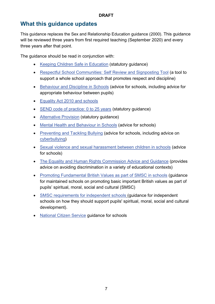### <span id="page-6-0"></span>**What this guidance updates**

This guidance replaces the Sex and Relationship Education guidance (2000). This guidance will be reviewed three years from first required teaching (September 2020) and every three years after that point.

The guidance should be read in conjunction with:

- [Keeping Children Safe in Education](https://www.gov.uk/government/publications/keeping-children-safe-in-education--2) [\(](https://www.gov.uk/government/publications/keeping-children-safe-in-education--2)statutory guidance)
- [Respectful School Communities: Self Review and Signposting Tool](http://educateagainsthate.com/download/36/) (a tool to support a whole school approach that promotes respect and discipline)
- [Behaviour and Discipline in Schools](https://www.gov.uk/government/publications/behaviour-and-discipline-in-schools) (advice for schools, including advice for appropriate behaviour between pupils)
- [Equality Act 2010 and schools](https://www.gov.uk/government/publications/equality-act-2010-advice-for-schools)
- [SEND code of practice: 0 to 25 years](https://www.gov.uk/government/publications/send-code-of-practice-0-to-25) (statutory quidance)
- [Alternative Provision](https://www.gov.uk/government/publications/alternative-provision) (statutory guidance)
- [Mental Health and Behaviour in Schools](https://www.gov.uk/government/publications/mental-health-and-behaviour-in-schools--2) [\(](https://www.gov.uk/government/publications/mental-health-and-behaviour-in-schools--2)advice for schools)
- [Preventing and Tackling Bullying](https://www.gov.uk/government/publications/preventing-and-tackling-bullying) [\(](https://www.gov.uk/government/publications/preventing-and-tackling-bullying)advice for schools, including advice on [cyberbullying\)](https://assets.publishing.service.gov.uk/government/uploads/system/uploads/attachment_data/file/374850/Cyberbullying_Advice_for_Headteachers_and_School_Staff_121114.pdf)
- [Sexual violence and sexual harassment between children in schools](https://www.gov.uk/government/publications/sexual-violence-and-sexual-harassment-between-children-in-schools-and-colleges) (advice for schools)
- [The Equality and Human Rights Commission Advice and Guidance](https://www.equalityhumanrights.com/en/advice-and-guidance/) (provides advice on avoiding discrimination in a variety of educational contexts)
- [Promoting Fundamental British Values as part of SMSC in schools](https://www.gov.uk/government/uploads/system/uploads/attachment_data/file/380595/SMSC_Guidance_Maintained_Schools.pdf) (guidance for maintained schools on promoting basic important British values as part of pupils' spiritual, moral, social and cultural (SMSC)
- [SMSC requirements for independent schools](https://www.gov.uk/government/publications/improving-the-smsc-development-of-pupils-in-independent-schools) (guidance for independent schools on how they should support pupils' spiritual, moral, social and cultural development).
- [National Citizen Service](https://www.gov.uk/government/publications/national-citizen-service-guidance-for-schools-and-colleges) guidance for schools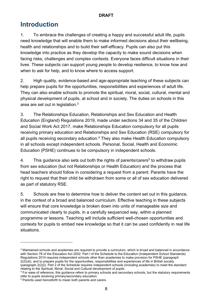# <span id="page-7-0"></span>**Introduction**

1. To embrace the challenges of creating a happy and successful adult life, pupils need knowledge that will enable them to make informed decisions about their wellbeing, health and relationships and to build their self-efficacy. Pupils can also put this knowledge into practice as they develop the capacity to make sound decisions when facing risks, challenges and complex contexts. Everyone faces difficult situations in their lives. These subjects can support young people to develop resilience, to know how and when to ask for help, and to know where to access support.

2. High quality, evidence-based and age-appropriate teaching of these subjects can help prepare pupils for the opportunities, responsibilities and experiences of adult life. They can also enable schools to promote the spiritual, moral, social, cultural, mental and physical development of pupils, at school and in society. The duties on schools in this area are set out in legislation.3

3. The Relationships Education, Relationships and Sex Education and Health Education (England) Regulations 2019, made under sections 34 and 35 of the Children and Social Work Act 2017, make Relationships Education compulsory for all pupils receiving primary education and Relationships and Sex Education (RSE) compulsory for all pupils receiving secondary education.<sup>4</sup> They also make Health Education compulsory in all schools except independent schools. Personal, Social, Health and Economic Education (PSHE) continues to be compulsory in independent schools.

4. This guidance also sets out both the rights of parents/carers<sup>5</sup> to withdraw pupils from sex education (but not Relationships or Health Education) and the process that head teachers should follow in considering a request from a parent. Parents have the right to request that their child be withdrawn from some or all of sex education delivered as part of statutory RSE.

5. Schools are free to determine how to deliver the content set out in this guidance, in the context of a broad and balanced curriculum. Effective teaching in these subjects will ensure that core knowledge is broken down into units of manageable size and communicated clearly to pupils, in a carefully sequenced way, within a planned programme or lessons. Teaching will include sufficient well-chosen opportunities and contexts for pupils to embed new knowledge so that it can be used confidently in real life situations.

 $\overline{a}$ 

<sup>3</sup> Maintained schools and academies are required to provide a curriculum, which is broad and balanced in accordance with Section 78 of the Education Act 2002. Part I of the Schedule to the Education (Independent School Standards) Regulations 2014 requires independent schools other than academies to make provision for PSHE (paragraph 2(2)(d)), and to prepare pupils for the opportunities, responsibilities and experiences of life in British society (paragraph 2(2)(i). Part 2 of the Schedule requires independent schools (including academies) to meet the standard relating to the Spiritual, Moral, Social and Cultural development of pupils.

<sup>4</sup> For ease of reference, this guidance refers to primary schools and secondary schools, but the statutory requirements refer to pupils receiving primary/secondary education.

<sup>5</sup> Parents used henceforth to mean both parents and carers.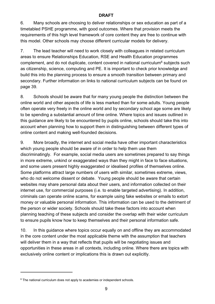6. Many schools are choosing to deliver relationships or sex education as part of a timetabled PSHE programme, with good outcomes. Where that provision meets the requirements of this high level framework of core content they are free to continue with this model. Other schools may choose different curricular models for delivery.

7. The lead teacher will need to work closely with colleagues in related curriculum areas to ensure Relationships Education, RSE and Health Education programmes complement, and do not duplicate, content covered in national curriculum<sup>6</sup> subjects such as citizenship, science, computing and PE. It is important to check prior knowledge and build this into the planning process to ensure a smooth transition between primary and secondary. Further information on links to national curriculum subjects can be found on page 39.

8. Schools should be aware that for many young people the distinction between the online world and other aspects of life is less marked than for some adults. Young people often operate very freely in the online world and by secondary school age some are likely to be spending a substantial amount of time online. Where topics and issues outlined in this guidance are likely to be encountered by pupils online, schools should take this into account when planning how to support them in distinguishing between different types of online content and making well-founded decisions.

9. More broadly, the internet and social media have other important characteristics which young people should be aware of in order to help them use them discriminatingly. For example, social media users are sometimes prepared to say things in more extreme, unkind or exaggerated ways than they might in face to face situations, and some users present highly exaggerated or idealised profiles of themselves online. Some platforms attract large numbers of users with similar, sometimes extreme, views, who do not welcome dissent or debate. Young people should be aware that certain websites may share personal data about their users, and information collected on their internet use, for commercial purposes (i.e. to enable targeted advertising). In addition, criminals can operate online scams, for example using fake websites or emails to extort money or valuable personal information. This information can be used to the detriment of the person or wider society. Schools should take these factors into account when planning teaching of these subjects and consider the overlap with their wider curriculum to ensure pupils know how to keep themselves and their personal information safe.

10. In this guidance where topics occur equally on and offline they are accommodated in the core content under the most applicable theme with the assumption that teachers will deliver them in a way that reflects that pupils will be negotiating issues and opportunities in these areas in all contexts, including online. Where there are topics with exclusively online content or implications this is drawn out explicitly.

 $\overline{a}$ 

<sup>&</sup>lt;sup>6</sup> The national curriculum does not apply to academies or independent schools.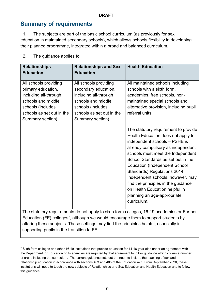### <span id="page-9-0"></span>**Summary of requirements**

11. The subjects are part of the basic school curriculum (as previously for sex education in maintained secondary schools), which allows schools flexibility in developing their planned programme, integrated within a broad and balanced curriculum.

| 12. | The guidance applies to: |  |
|-----|--------------------------|--|
|     |                          |  |

 $\overline{a}$ 

| <b>Relationships</b><br><b>Education</b>                                                                                                                          | <b>Relationships and Sex</b><br><b>Education</b>                                                                                                                    | <b>Health Education</b>                                                                                                                                                                                                                                                                                                                                                                                                                                         |
|-------------------------------------------------------------------------------------------------------------------------------------------------------------------|---------------------------------------------------------------------------------------------------------------------------------------------------------------------|-----------------------------------------------------------------------------------------------------------------------------------------------------------------------------------------------------------------------------------------------------------------------------------------------------------------------------------------------------------------------------------------------------------------------------------------------------------------|
| All schools providing<br>primary education,<br>including all-through<br>schools and middle<br>schools (includes<br>schools as set out in the<br>Summary section). | All schools providing<br>secondary education,<br>including all-through<br>schools and middle<br>schools (includes<br>schools as set out in the<br>Summary section). | All maintained schools including<br>schools with a sixth form,<br>academies, free schools, non-<br>maintained special schools and<br>alternative provision, including pupil<br>referral units.                                                                                                                                                                                                                                                                  |
|                                                                                                                                                                   |                                                                                                                                                                     | The statutory requirement to provide<br>Health Education does not apply to<br>independent schools - PSHE is<br>already compulsory as independent<br>schools must meet the Independent<br>School Standards as set out in the<br><b>Education (Independent School</b><br>Standards) Regulations 2014.<br>Independent schools, however, may<br>find the principles in the guidance<br>on Health Education helpful in<br>planning an age-appropriate<br>curriculum. |
|                                                                                                                                                                   |                                                                                                                                                                     | The statutory requirements do not apply to sixth form colleges, 16-19 academies or Further                                                                                                                                                                                                                                                                                                                                                                      |

Education (FE) colleges<sup>7</sup>, although we would encourage them to support students by offering these subjects. These settings may find the principles helpful, especially in supporting pupils in the transition to FE.

 $7$  Sixth form colleges and other 16-19 institutions that provide education for 14-16-year olds under an agreement with the Department for Education or its agencies are required by that agreement to follow guidance which covers a number of areas including the curriculum. The current guidance sets out the need to include the teaching of sex and relationship education in accordance with sections 403 and 405 of the Education Act. From September 2020, these institutions will need to teach the new subjects of Relationships and Sex Education and Health Education and to follow this guidance.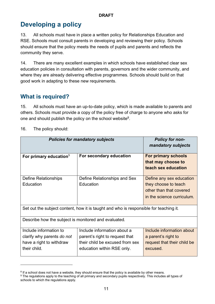# <span id="page-10-0"></span>**Developing a policy**

13. All schools must have in place a written policy for Relationships Education and RSE. Schools must consult parents in developing and reviewing their policy. Schools should ensure that the policy meets the needs of pupils and parents and reflects the community they serve.

14. There are many excellent examples in which schools have established clear sex education policies in consultation with parents, governors and the wider community, and where they are already delivering effective programmes. Schools should build on that good work in adapting to these new requirements.

### <span id="page-10-1"></span>**What is required?**

15. All schools must have an up-to-date policy, which is made available to parents and others. Schools must provide a copy of the policy free of charge to anyone who asks for one and should publish the policy on the school website<sup>8</sup>.

16. The policy should:

 $\overline{a}$ 

| <b>Policies for mandatory subjects</b>                                                           |                                                                                                                                | <b>Policy for non-</b><br>mandatory subjects                                                              |  |
|--------------------------------------------------------------------------------------------------|--------------------------------------------------------------------------------------------------------------------------------|-----------------------------------------------------------------------------------------------------------|--|
| For primary education <sup>9</sup>                                                               | For secondary education                                                                                                        | <b>For primary schools</b><br>that may choose to<br>teach sex education                                   |  |
| <b>Define Relationships</b><br>Education                                                         | Define Relationships and Sex<br>Education                                                                                      | Define any sex education<br>they choose to teach<br>other than that covered<br>in the science curriculum. |  |
| Set out the subject content, how it is taught and who is responsible for teaching it.            |                                                                                                                                |                                                                                                           |  |
| Describe how the subject is monitored and evaluated.                                             |                                                                                                                                |                                                                                                           |  |
| Include information to<br>clarify why parents do not<br>have a right to withdraw<br>their child. | Include information about a<br>parent's right to request that<br>their child be excused from sex<br>education within RSE only. | Include information about<br>a parent's right to<br>request that their child be<br>excused.               |  |

<sup>&</sup>lt;sup>8</sup> If a school does not have a website, they should ensure that the policy is available by other means.

<sup>&</sup>lt;sup>9</sup> The regulations apply to the teaching of all primary and secondary pupils respectively. This includes all types of schools to which the regulations apply.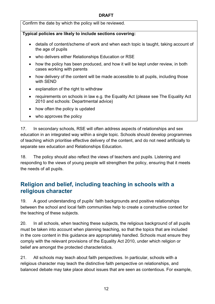Confirm the date by which the policy will be reviewed.

#### **Typical policies are likely to include sections covering:**

- details of content/scheme of work and when each topic is taught, taking account of the age of pupils
- who delivers either Relationships Education or RSE
- how the policy has been produced, and how it will be kept under review, in both cases working with parents
- how delivery of the content will be made accessible to all pupils, including those with SEND
- explanation of the right to withdraw
- requirements on schools in law e.g. the Equality Act (please see The Equality Act 2010 and schools: Departmental advice)
- how often the policy is updated
- who approves the policy

17. In secondary schools, RSE will often address aspects of relationships and sex education in an integrated way within a single topic. Schools should develop programmes of teaching which prioritise effective delivery of the content, and do not need artificially to separate sex education and Relationships Education.

18. The policy should also reflect the views of teachers and pupils. Listening and responding to the views of young people will strengthen the policy, ensuring that it meets the needs of all pupils.

### <span id="page-11-0"></span>**Religion and belief, including teaching in schools with a religious character**

19. A good understanding of pupils' faith backgrounds and positive relationships between the school and local faith communities help to create a constructive context for the teaching of these subjects.

20. In all schools, when teaching these subjects, the religious background of all pupils must be taken into account when planning teaching, so that the topics that are included in the core content in this guidance are appropriately handled. Schools must ensure they comply with the relevant provisions of the Equality Act 2010, under which religion or belief are amongst the protected characteristics.

21. All schools may teach about faith perspectives. In particular, schools with a religious character may teach the distinctive faith perspective on relationships, and balanced debate may take place about issues that are seen as contentious. For example,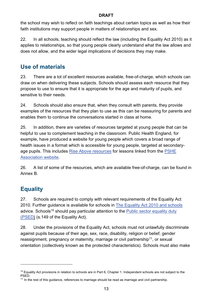the school may wish to reflect on faith teachings about certain topics as well as how their faith institutions may support people in matters of relationships and sex.

22. In all schools, teaching should reflect the law (including the Equality Act 2010) as it applies to relationships, so that young people clearly understand what the law allows and does not allow, and the wider legal implications of decisions they may make.

### <span id="page-12-0"></span>**Use of materials**

23. There are a lot of excellent resources available, free-of-charge, which schools can draw on when delivering these subjects. Schools should assess each resource that they propose to use to ensure that it is appropriate for the age and maturity of pupils, and sensitive to their needs.

24. Schools should also ensure that, when they consult with parents, they provide examples of the resources that they plan to use as this can be reassuring for parents and enables them to continue the conversations started in class at home.

25. In addition, there are varieties of resources targeted at young people that can be helpful to use to complement teaching in the classroom. Public Health England, for example, have produced a website for young people which covers a broad range of health issues in a format which is accessible for young people, targeted at secondaryage pupils. This includes [Rise Above resources](https://campaignresources.phe.gov.uk/schools/topics/rise-above/overview?WT.mc_id=RiseAboveforSchools_PSHEA_EdComs_Resource_listing_Sep17) for lessons linked from the [PSHE](https://www.pshe-association.org.uk/curriculum-and-resources/resources/rise-above-schools-teaching-resources)  [Association website.](https://www.pshe-association.org.uk/curriculum-and-resources/resources/rise-above-schools-teaching-resources)

26. A list of some of the resources, which are available free-of-charge, can be found in Annex B.

# <span id="page-12-1"></span>**Equality**

 $\overline{a}$ 

27. Schools are required to comply with relevant requirements of the Equality Act 2010. Further guidance is available for schools in [The Equality Act 2010 and schools](https://assets.publishing.service.gov.uk/government/uploads/system/uploads/attachment_data/file/315587/Equality_Act_Advice_Final.pdf) advice. Schools<sup>10</sup> should pay particular attention to the **Public sector equality duty** (PSED) (s.149 of the Equality Act).

28. Under the provisions of the Equality Act, schools must not unlawfully discriminate against pupils because of their age, sex, race, disability, religion or belief, gender reassignment, pregnancy or maternity, marriage or civil partnership<sup>11</sup>, or sexual orientation (collectively known as the protected characteristics). Schools must also make

 $10$  Equality Act provisions in relation to schools are in Part 6, Chapter 1. Independent schools are not subject to the PSED.

 $11$  In the rest of this quidance, references to marriage should be read as marriage and civil partnership.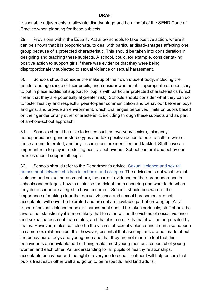reasonable adjustments to alleviate disadvantage and be mindful of the SEND Code of Practice when planning for these subjects.

29. Provisions within the Equality Act allow schools to take positive action, where it can be shown that it is proportionate, to deal with particular disadvantages affecting one group because of a protected characteristic. This should be taken into consideration in designing and teaching these subjects. A school, could, for example, consider taking positive action to support girls if there was evidence that they were being disproportionately subjected to sexual violence or sexual harassment.

30. Schools should consider the makeup of their own student body, including the gender and age range of their pupils, and consider whether it is appropriate or necessary to put in place additional support for pupils with particular protected characteristics (which mean that they are potentially at greater risk). Schools should consider what they can do to foster healthy and respectful peer-to-peer communication and behaviour between boys and girls, and provide an environment, which challenges perceived limits on pupils based on their gender or any other characteristic, including through these subjects and as part of a whole-school approach.

31. Schools should be alive to issues such as everyday sexism, misogyny, homophobia and gender stereotypes and take positive action to build a culture where these are not tolerated, and any occurrences are identified and tackled. Staff have an important role to play in modelling positive behaviours. School pastoral and behaviour policies should support all pupils.

32. Schools should refer to the Department's advice, [Sexual violence and sexual](https://www.gov.uk/government/publications/sexual-violence-and-sexual-harassment-between-children-in-schools-and-colleges)  [harassment between children in schools and colleges.](https://www.gov.uk/government/publications/sexual-violence-and-sexual-harassment-between-children-in-schools-and-colleges) The advice sets out what sexual violence and sexual harassment are, the current evidence on their preponderance in schools and colleges, how to minimise the risk of them occurring and what to do when they do occur or are alleged to have occurred. Schools should be aware of the importance of making clear that sexual violence and sexual harassment are not acceptable, will never be tolerated and are not an inevitable part of growing up. Any report of sexual violence or sexual harassment should be taken seriously; staff should be aware that statistically it is more likely that females will be the victims of sexual violence and sexual harassment than males, and that it is more likely that it will be perpetrated by males. However, males can also be the victims of sexual violence and it can also happen in same-sex relationships. It is, however, essential that assumptions are not made about the behaviour of boys and young men and that they are not made to feel that this behaviour is an inevitable part of being male; most young men are respectful of young women and each other. An understanding for all pupils of healthy relationships, acceptable behaviour and the right of everyone to equal treatment will help ensure that pupils treat each other well and go on to be respectful and kind adults.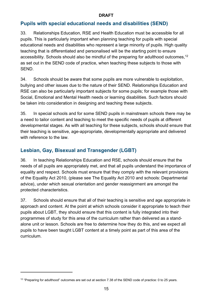#### <span id="page-14-0"></span>**Pupils with special educational needs and disabilities (SEND)**

33. Relationships Education, RSE and Health Education must be accessible for all pupils. This is particularly important when planning teaching for pupils with special educational needs and disabilities who represent a large minority of pupils. High quality teaching that is differentiated and personalised will be the starting point to ensure accessibility. Schools should also be mindful of the preparing for adulthood outcomes,<sup>12</sup> as set out in the SEND code of practice, when teaching these subjects to those with SEND.

34. Schools should be aware that some pupils are more vulnerable to exploitation, bullying and other issues due to the nature of their SEND. Relationships Education and RSE can also be particularly important subjects for some pupils; for example those with Social, Emotional and Mental Health needs or learning disabilities. Such factors should be taken into consideration in designing and teaching these subjects.

35. In special schools and for some SEND pupils in mainstream schools there may be a need to tailor content and teaching to meet the specific needs of pupils at different developmental stages. As with all teaching for these subjects, schools should ensure that their teaching is sensitive, age-appropriate, developmentally appropriate and delivered with reference to the law.

### <span id="page-14-1"></span>**Lesbian, Gay, Bisexual and Transgender (LGBT)**

36. In teaching Relationships Education and RSE, schools should ensure that the needs of all pupils are appropriately met, and that all pupils understand the importance of equality and respect. Schools must ensure that they comply with the relevant provisions of the Equality Act 2010, (please see The Equality Act 2010 and schools: Departmental advice), under which sexual orientation and gender reassignment are amongst the protected characteristics.

37. Schools should ensure that all of their teaching is sensitive and age appropriate in approach and content. At the point at which schools consider it appropriate to teach their pupils about LGBT, they should ensure that this content is fully integrated into their programmes of study for this area of the curriculum rather than delivered as a standalone unit or lesson. Schools are free to determine how they do this, and we expect all pupils to have been taught LGBT content at a timely point as part of this area of the curriculum.

 $\overline{a}$ 

<sup>&</sup>lt;sup>12</sup> "Preparing for adulthood" outcomes are set out at section 7.38 of the SEND code of practice: 0 to 25 years.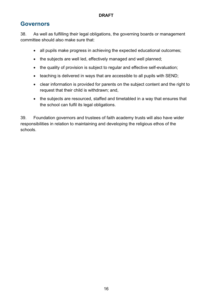### <span id="page-15-0"></span>**Governors**

38. As well as fulfilling their legal obligations, the governing boards or management committee should also make sure that:

- all pupils make progress in achieving the expected educational outcomes;
- the subjects are well led, effectively managed and well planned;
- the quality of provision is subject to regular and effective self-evaluation;
- teaching is delivered in ways that are accessible to all pupils with SEND;
- clear information is provided for parents on the subject content and the right to request that their child is withdrawn; and,
- the subjects are resourced, staffed and timetabled in a way that ensures that the school can fulfil its legal obligations.

39. Foundation governors and trustees of faith academy trusts will also have wider responsibilities in relation to maintaining and developing the religious ethos of the schools.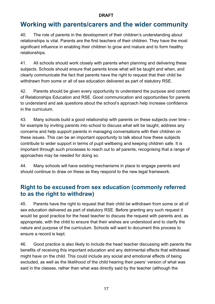# <span id="page-16-0"></span>**Working with parents/carers and the wider community**

40. The role of parents in the development of their children's understanding about relationships is vital. Parents are the first teachers of their children. They have the most significant influence in enabling their children to grow and mature and to form healthy relationships.

41. All schools should work closely with parents when planning and delivering these subjects. Schools should ensure that parents know what will be taught and when, and clearly communicate the fact that parents have the right to request that their child be withdrawn from some or all of sex education delivered as part of statutory RSE.

42. Parents should be given every opportunity to understand the purpose and content of Relationships Education and RSE. Good communication and opportunities for parents to understand and ask questions about the school's approach help increase confidence in the curriculum.

43. Many schools build a good relationship with parents on these subjects over time – for example by inviting parents into school to discuss what will be taught, address any concerns and help support parents in managing conversations with their children on these issues. This can be an important opportunity to talk about how these subjects contribute to wider support in terms of pupil wellbeing and keeping children safe. It is important through such processes to reach out to *all* parents, recognising that a range of approaches may be needed for doing so.

44. Many schools will have existing mechanisms in place to engage parents and should continue to draw on these as they respond to the new legal framework.

### <span id="page-16-1"></span>**Right to be excused from sex education (commonly referred to as the right to withdraw)**

45. Parents have the right to request that their child be withdrawn from some or all of sex education delivered as part of statutory RSE. Before granting any such request it would be good practice for the head teacher to discuss the request with parents and, as appropriate, with the child to ensure that their wishes are understood and to clarify the nature and purpose of the curriculum. Schools will want to document this process to ensure a record is kept.

46. Good practice is also likely to include the head teacher discussing with parents the benefits of receiving this important education and any detrimental effects that withdrawal might have on the child. This could include any social and emotional effects of being excluded, as well as the likelihood of the child hearing their peers' version of what was said in the classes, rather than what was directly said by the teacher (although the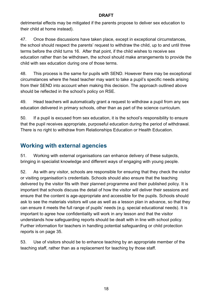detrimental effects may be mitigated if the parents propose to deliver sex education to their child at home instead).

47. Once those discussions have taken place, except in exceptional circumstances, the school should respect the parents' request to withdraw the child, up to and until three terms before the child turns 16. After that point, if the child wishes to receive sex education rather than be withdrawn, the school should make arrangements to provide the child with sex education during one of those terms.

48. This process is the same for pupils with SEND. However there may be exceptional circumstances where the head teacher may want to take a pupil's specific needs arising from their SEND into account when making this decision. The approach outlined above should be reflected in the school's policy on RSE.

49. Head teachers will automatically grant a request to withdraw a pupil from any sex education delivered in primary schools, other than as part of the science curriculum.

50. If a pupil is excused from sex education, it is the school's responsibility to ensure that the pupil receives appropriate, purposeful education during the period of withdrawal. There is no right to withdraw from Relationships Education or Health Education.

### <span id="page-17-0"></span>**Working with external agencies**

51. Working with external organisations can enhance delivery of these subjects, bringing in specialist knowledge and different ways of engaging with young people.

52. As with any visitor, schools are responsible for ensuring that they check the visitor or visiting organisation's credentials. Schools should also ensure that the teaching delivered by the visitor fits with their planned programme and their published policy. It is important that schools discuss the detail of how the visitor will deliver their sessions and ensure that the content is age-appropriate and accessible for the pupils. Schools should ask to see the materials visitors will use as well as a lesson plan in advance, so that they can ensure it meets the full range of pupils' needs (e.g. special educational needs). It is important to agree how confidentiality will work in any lesson and that the visitor understands how safeguarding reports should be dealt with in line with school policy. Further information for teachers in handling potential safeguarding or child protection reports is on page 35.

53. Use of visitors should be to enhance teaching by an appropriate member of the teaching staff, rather than as a replacement for teaching by those staff.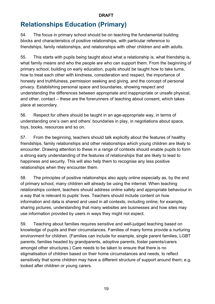# <span id="page-18-0"></span>**Relationships Education (Primary)**

54. The focus in primary school should be on teaching the fundamental building blocks and characteristics of positive relationships, with particular reference to friendships, family relationships, and relationships with other children and with adults.

55. This starts with pupils being taught about what a relationship is, what friendship is, what family means and who the people are who can support them. From the beginning of primary school, building on early education, pupils should be taught how to take turns, how to treat each other with kindness, consideration and respect, the importance of honesty and truthfulness, permission seeking and giving, and the concept of personal privacy. Establishing personal space and boundaries, showing respect and understanding the differences between appropriate and inappropriate or unsafe physical, and other, contact – these are the forerunners of teaching about consent, which takes place at secondary.

56. Respect for others should be taught in an age-appropriate way, in terms of understanding one's own and others' boundaries in play, in negotiations about space, toys, books, resources and so on.

57. From the beginning, teachers should talk explicitly about the features of healthy friendships, family relationships and other relationships which young children are likely to encounter. Drawing attention to these in a range of contexts should enable pupils to form a strong early understanding of the features of relationships that are likely to lead to happiness and security. This will also help them to recognise any less positive relationships when they encounter them.

58. The principles of positive relationships also apply online especially as, by the end of primary school, many children will already be using the internet. When teaching relationships content, teachers should address online safety and appropriate behaviour in a way that is relevant to pupils' lives. Teachers should include content on how information and data is shared and used in all contexts, including online; for example, sharing pictures, understanding that many websites are businesses and how sites may use information provided by users in ways they might not expect.

59. Teaching about families requires sensitive and well-judged teaching based on knowledge of pupils and their circumstances. Families of many forms provide a nurturing environment for children. (Families can include for example, single parent families, LGBT parents, families headed by grandparents, adoptive parents, foster parents/carers amongst other structures.) Care needs to be taken to ensure that there is no stigmatisation of children based on their home circumstances and needs, to reflect sensitively that some children may have a different structure of support around them; e.g. looked after children or young carers.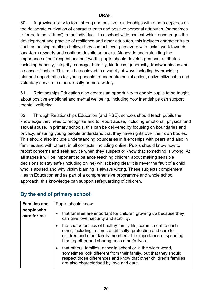60. A growing ability to form strong and positive relationships with others depends on the deliberate cultivation of character traits and positive personal attributes, (sometimes referred to as 'virtues') in the individual. In a school wide context which encourages the development and practice of resilience and other attributes, this includes character traits such as helping pupils to believe they can achieve, persevere with tasks, work towards long-term rewards and continue despite setbacks. Alongside understanding the importance of self-respect and self-worth, pupils should develop personal attributes including honesty, integrity, courage, humility, kindness, generosity, trustworthiness and a sense of justice. This can be achieved in a variety of ways including by providing planned opportunities for young people to undertake social action, active citizenship and voluntary service to others locally or more widely.

61. Relationships Education also creates an opportunity to enable pupils to be taught about positive emotional and mental wellbeing, including how friendships can support mental wellbeing.

62. Through Relationships Education (and RSE), schools should teach pupils the knowledge they need to recognise and to report abuse, including emotional, physical and sexual abuse. In primary schools, this can be delivered by focusing on boundaries and privacy, ensuring young people understand that they have rights over their own bodies. This should also include understanding boundaries in friendships with peers and also in families and with others, in all contexts, including online. Pupils should know how to report concerns and seek advice when they suspect or know that something is wrong. At all stages it will be important to balance teaching children about making sensible decisions to stay safe (including online) whilst being clear it is never the fault of a child who is abused and why victim blaming is always wrong. These subjects complement Health Education and as part of a comprehensive programme and whole school approach, this knowledge can support safeguarding of children.

### <span id="page-19-0"></span>**By the end of primary school:**

| <b>Families and</b><br>people who | Pupils should know                                                                                                                                                                                                                                                |
|-----------------------------------|-------------------------------------------------------------------------------------------------------------------------------------------------------------------------------------------------------------------------------------------------------------------|
| care for me                       | that families are important for children growing up because they<br>$\bullet$<br>can give love, security and stability.                                                                                                                                           |
|                                   | the characteristics of healthy family life, commitment to each<br>$\bullet$<br>other, including in times of difficulty, protection and care for<br>children and other family members, the importance of spending<br>time together and sharing each other's lives. |
|                                   | that others' families, either in school or in the wider world,<br>$\bullet$<br>sometimes look different from their family, but that they should<br>respect those differences and know that other children's families<br>are also characterised by love and care.  |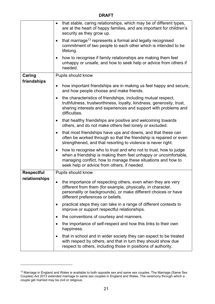|                       | that stable, caring relationships, which may be of different types,<br>$\bullet$<br>are at the heart of happy families, and are important for children's<br>security as they grow up.<br>that marriage <sup>13</sup> represents a formal and legally recognised<br>$\bullet$<br>commitment of two people to each other which is intended to be<br>lifelong.<br>how to recognise if family relationships are making them feel<br>$\bullet$<br>unhappy or unsafe, and how to seek help or advice from others if<br>needed. |
|-----------------------|--------------------------------------------------------------------------------------------------------------------------------------------------------------------------------------------------------------------------------------------------------------------------------------------------------------------------------------------------------------------------------------------------------------------------------------------------------------------------------------------------------------------------|
|                       |                                                                                                                                                                                                                                                                                                                                                                                                                                                                                                                          |
| Caring<br>friendships | Pupils should know                                                                                                                                                                                                                                                                                                                                                                                                                                                                                                       |
|                       | how important friendships are in making us feel happy and secure,<br>٠<br>and how people choose and make friends.                                                                                                                                                                                                                                                                                                                                                                                                        |
|                       | the characteristics of friendships, including mutual respect,<br>$\bullet$<br>truthfulness, trustworthiness, loyalty, kindness, generosity, trust,<br>sharing interests and experiences and support with problems and<br>difficulties.                                                                                                                                                                                                                                                                                   |
|                       | that healthy friendships are positive and welcoming towards<br>$\bullet$<br>others, and do not make others feel lonely or excluded.                                                                                                                                                                                                                                                                                                                                                                                      |
|                       | that most friendships have ups and downs, and that these can<br>$\bullet$<br>often be worked through so that the friendship is repaired or even<br>strengthened, and that resorting to violence is never right.                                                                                                                                                                                                                                                                                                          |
|                       | how to recognise who to trust and who not to trust, how to judge<br>$\bullet$<br>when a friendship is making them feel unhappy or uncomfortable,<br>managing conflict, how to manage these situations and how to<br>seek help or advice from others, if needed.                                                                                                                                                                                                                                                          |
| <b>Respectful</b>     | Pupils should know                                                                                                                                                                                                                                                                                                                                                                                                                                                                                                       |
| relationships         | the importance of respecting others, even when they are very<br>different from them (for example, physically, in character,<br>personality or backgrounds), or make different choices or have<br>different preferences or beliefs.                                                                                                                                                                                                                                                                                       |
|                       | practical steps they can take in a range of different contexts to<br>٠<br>improve or support respectful relationships.                                                                                                                                                                                                                                                                                                                                                                                                   |
|                       | the conventions of courtesy and manners.                                                                                                                                                                                                                                                                                                                                                                                                                                                                                 |
|                       | the importance of self-respect and how this links to their own<br>happiness.                                                                                                                                                                                                                                                                                                                                                                                                                                             |
|                       | that in school and in wider society they can expect to be treated<br>٠<br>with respect by others, and that in turn they should show due<br>respect to others, including those in positions of authority.                                                                                                                                                                                                                                                                                                                 |

 $\overline{a}$ 

 $^{13}$  Marriage in England and Wales is available to both opposite sex and same sex couples. The Marriage (Same Sex Couples) Act 2013 extended marriage to same sex couples in England and Wales. The ceremony through which a couple get married may be civil or religious.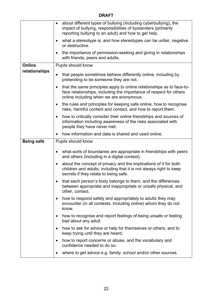|                   | about different types of bullying (including cyberbullying), the<br>$\bullet$<br>impact of bullying, responsibilities of bystanders (primarily<br>reporting bullying to an adult) and how to get help. |
|-------------------|--------------------------------------------------------------------------------------------------------------------------------------------------------------------------------------------------------|
|                   | what a stereotype is, and how stereotypes can be unfair, negative<br>٠<br>or destructive.                                                                                                              |
|                   | the importance of permission-seeking and giving in relationships<br>with friends, peers and adults.                                                                                                    |
| Online            | Pupils should know                                                                                                                                                                                     |
| relationships     | that people sometimes behave differently online, including by<br>$\bullet$<br>pretending to be someone they are not.                                                                                   |
|                   | that the same principles apply to online relationships as to face-to-<br>٠<br>face relationships, including the importance of respect for others<br>online including when we are anonymous.            |
|                   | the rules and principles for keeping safe online, how to recognise<br>$\bullet$<br>risks, harmful content and contact, and how to report them.                                                         |
|                   | how to critically consider their online friendships and sources of<br>$\bullet$<br>information including awareness of the risks associated with<br>people they have never met.                         |
|                   | how information and data is shared and used online.                                                                                                                                                    |
| <b>Being safe</b> | Pupils should know                                                                                                                                                                                     |
|                   | what sorts of boundaries are appropriate in friendships with peers<br>and others (including in a digital context).                                                                                     |
|                   | about the concept of privacy and the implications of it for both<br>$\bullet$<br>children and adults; including that it is not always right to keep<br>secrets if they relate to being safe.           |
|                   | that each person's body belongs to them, and the differences<br>between appropriate and inappropriate or unsafe physical, and<br>other, contact.                                                       |
|                   | how to respond safely and appropriately to adults they may<br>$\bullet$<br>encounter (in all contexts, including online) whom they do not<br>know.                                                     |
|                   | how to recognise and report feelings of being unsafe or feeling<br>$\bullet$<br>bad about any adult.                                                                                                   |
|                   | how to ask for advice or help for themselves or others, and to<br>٠<br>keep trying until they are heard,                                                                                               |
|                   |                                                                                                                                                                                                        |
|                   | how to report concerns or abuse, and the vocabulary and<br>confidence needed to do so.                                                                                                                 |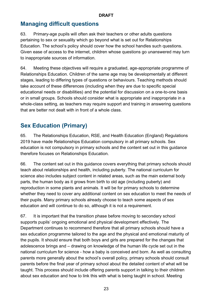### <span id="page-22-0"></span>**Managing difficult questions**

63. Primary-age pupils will often ask their teachers or other adults questions pertaining to sex or sexuality which go beyond what is set out for Relationships Education. The school's policy should cover how the school handles such questions. Given ease of access to the internet, children whose questions go unanswered may turn to inappropriate sources of information.

64. Meeting these objectives will require a graduated, age-appropriate programme of Relationships Education. Children of the same age may be developmentally at different stages, leading to differing types of questions or behaviours. Teaching methods should take account of these differences (including when they are due to specific special educational needs or disabilities) and the potential for discussion on a one-to-one basis or in small groups. Schools should consider what is appropriate and inappropriate in a whole-class setting, as teachers may require support and training in answering questions that are better not dealt with in front of a whole class.

### <span id="page-22-1"></span>**Sex Education (Primary)**

65. The Relationships Education, RSE, and Health Education (England) Regulations 2019 have made Relationships Education compulsory in all primary schools. Sex education is not compulsory in primary schools and the content set out in this guidance therefore focuses on Relationships Education.

66. The content set out in this guidance covers everything that primary schools should teach about relationships and health, including puberty. The national curriculum for science also includes subject content in related areas, such as the main external body parts, the human body as it grows from birth to old age (including puberty) and reproduction in some plants and animals. It will be for primary schools to determine whether they need to cover any additional content on sex education to meet the needs of their pupils. Many primary schools already choose to teach some aspects of sex education and will continue to do so, although it is not a requirement.

67. It is important that the transition phase before moving to secondary school supports pupils' ongoing emotional and physical development effectively. The Department continues to recommend therefore that all primary schools should have a sex education programme tailored to the age and the physical and emotional maturity of the pupils. It should ensure that both boys and girls are prepared for the changes that adolescence brings and – drawing on knowledge of the human life cycle set out in the national curriculum for science - how a baby is conceived and born. As well as consulting parents more generally about the school's overall policy, primary schools should consult parents before the final year of primary school about the detailed content of what will be taught. This process should include offering parents support in talking to their children about sex education and how to link this with what is being taught in school. Meeting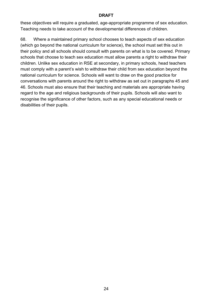these objectives will require a graduated, age-appropriate programme of sex education. Teaching needs to take account of the developmental differences of children.

68. Where a maintained primary school chooses to teach aspects of sex education (which go beyond the national curriculum for science), the school must set this out in their policy and all schools should consult with parents on what is to be covered. Primary schools that choose to teach sex education must allow parents a right to withdraw their children. Unlike sex education in RSE at secondary, in primary schools, head teachers must comply with a parent's wish to withdraw their child from sex education beyond the national curriculum for science. Schools will want to draw on the good practice for conversations with parents around the right to withdraw as set out in paragraphs 45 and 46. Schools must also ensure that their teaching and materials are appropriate having regard to the age and religious backgrounds of their pupils. Schools will also want to recognise the significance of other factors, such as any special educational needs or disabilities of their pupils.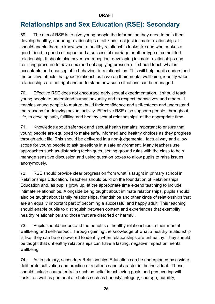# <span id="page-24-0"></span>**Relationships and Sex Education (RSE): Secondary**

69. The aim of RSE is to give young people the information they need to help them develop healthy, nurturing relationships of all kinds, not just intimate relationships. It should enable them to know what a healthy relationship looks like and what makes a good friend, a good colleague and a successful marriage or other type of committed relationship. It should also cover contraception, developing intimate relationships and resisting pressure to have sex (and not applying pressure). It should teach what is acceptable and unacceptable behaviour in relationships. This will help pupils understand the positive effects that good relationships have on their mental wellbeing, identify when relationships are not right and understand how such situations can be managed.

70. Effective RSE does not encourage early sexual experimentation. It should teach young people to understand human sexuality and to respect themselves and others. It enables young people to mature, build their confidence and self-esteem and understand the reasons for delaying sexual activity. Effective RSE also supports people, throughout life, to develop safe, fulfilling and healthy sexual relationships, at the appropriate time.

71. Knowledge about safer sex and sexual health remains important to ensure that young people are equipped to make safe, informed and healthy choices as they progress through adult life. This should be delivered in a non-judgemental, factual way and allow scope for young people to ask questions in a safe environment. Many teachers use approaches such as distancing techniques, setting ground rules with the class to help manage sensitive discussion and using question boxes to allow pupils to raise issues anonymously.

72. RSE should provide clear progression from what is taught in primary school in Relationships Education. Teachers should build on the foundation of Relationships Education and, as pupils grow up, at the appropriate time extend teaching to include intimate relationships. Alongside being taught about intimate relationships, pupils should also be taught about family relationships, friendships and other kinds of relationships that are an equally important part of becoming a successful and happy adult. This teaching should enable pupils to distinguish between content and experiences that exemplify healthy relationships and those that are distorted or harmful.

73. Pupils should understand the benefits of healthy relationships to their mental wellbeing and self-respect. Through gaining the knowledge of what a healthy relationship is like, they can be empowered to identify when relationships are unhealthy. They should be taught that unhealthy relationships can have a lasting, negative impact on mental wellbeing.

74. As in primary, secondary Relationships Education can be underpinned by a wider, deliberate cultivation and practice of resilience and character in the individual. These should include character traits such as belief in achieving goals and persevering with tasks, as well as personal attributes such as honesty, integrity, courage, humility,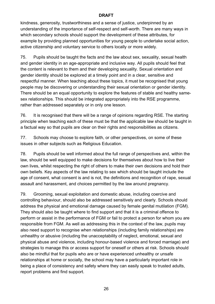kindness, generosity, trustworthiness and a sense of justice, underpinned by an understanding of the importance of self-respect and self-worth. There are many ways in which secondary schools should support the development of these attributes, for example by providing planned opportunities for young people to undertake social action, active citizenship and voluntary service to others locally or more widely.

75. Pupils should be taught the facts and the law about sex, sexuality, sexual health and gender identity in an age-appropriate and inclusive way. All pupils should feel that the content is relevant to them and their developing sexuality. Sexual orientation and gender identity should be explored at a timely point and in a clear, sensitive and respectful manner. When teaching about these topics, it must be recognised that young people may be discovering or understanding their sexual orientation or gender identity. There should be an equal opportunity to explore the features of stable and healthy samesex relationships. This should be integrated appropriately into the RSE programme, rather than addressed separately or in only one lesson.

76. It is recognised that there will be a range of opinions regarding RSE. The starting principle when teaching each of these must be that the applicable law should be taught in a factual way so that pupils are clear on their rights and responsibilities as citizens.

77. Schools may choose to explore faith, or other perspectives, on some of these issues in other subjects such as Religious Education.

78. Pupils should be well informed about the full range of perspectives and, within the law, should be well equipped to make decisions for themselves about how to live their own lives, whilst respecting the right of others to make their own decisions and hold their own beliefs. Key aspects of the law relating to sex which should be taught include the age of consent, what consent is and is not, the definitions and recognition of rape, sexual assault and harassment, and choices permitted by the law around pregnancy.

79. Grooming, sexual exploitation and domestic abuse, including coercive and controlling behaviour, should also be addressed sensitively and clearly. Schools should address the physical and emotional damage caused by female genital mutilation (FGM). They should also be taught where to find support and that it is a criminal offence to perform or assist in the performance of FGM or fail to protect a person for whom you are responsible from FGM. As well as addressing this in the context of the law, pupils may also need support to recognise when relationships (including family relationships) are unhealthy or abusive (including the unacceptability of neglect, emotional, sexual and physical abuse and violence, including honour-based violence and forced marriage) and strategies to manage this or access support for oneself or others at risk. Schools should also be mindful that for pupils who are or have experienced unhealthy or unsafe relationships at home or socially, the school may have a particularly important role in being a place of consistency and safety where they can easily speak to trusted adults, report problems and find support.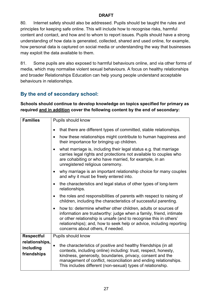80. Internet safety should also be addressed. Pupils should be taught the rules and principles for keeping safe online. This will include how to recognise risks, harmful content and contact, and how and to whom to report issues. Pupils should have a strong understanding of how data is generated, collected, shared and used online, for example, how personal data is captured on social media or understanding the way that businesses may exploit the data available to them.

81. Some pupils are also exposed to harmful behaviours online, and via other forms of media, which may normalise violent sexual behaviours. A focus on healthy relationships and broader Relationships Education can help young people understand acceptable behaviours in relationships.

### <span id="page-26-0"></span>**By the end of secondary school:**

**Schools should continue to develop knowledge on topics specified for primary as required and in addition cover the following content by the end of secondary:** 

| <b>Families</b>                            | Pupils should know                                                                                                                                                                                                                                                                                                                  |  |  |
|--------------------------------------------|-------------------------------------------------------------------------------------------------------------------------------------------------------------------------------------------------------------------------------------------------------------------------------------------------------------------------------------|--|--|
|                                            | that there are different types of committed, stable relationships.                                                                                                                                                                                                                                                                  |  |  |
|                                            | how these relationships might contribute to human happiness and<br>their importance for bringing up children.                                                                                                                                                                                                                       |  |  |
|                                            | what marriage is, including their legal status e.g. that marriage<br>carries legal rights and protections not available to couples who<br>are cohabiting or who have married, for example, in an<br>unregistered religious ceremony.                                                                                                |  |  |
|                                            | why marriage is an important relationship choice for many couples<br>and why it must be freely entered into.                                                                                                                                                                                                                        |  |  |
|                                            | the characteristics and legal status of other types of long-term<br>relationships.                                                                                                                                                                                                                                                  |  |  |
|                                            | the roles and responsibilities of parents with respect to raising of<br>children, including the characteristics of successful parenting.                                                                                                                                                                                            |  |  |
|                                            | how to: determine whether other children, adults or sources of<br>$\bullet$<br>information are trustworthy: judge when a family, friend, intimate<br>or other relationship is unsafe (and to recognise this in others'<br>relationships); and, how to seek help or advice, including reporting<br>concerns about others, if needed. |  |  |
| <b>Respectful</b>                          | Pupils should know                                                                                                                                                                                                                                                                                                                  |  |  |
| relationships,<br>including<br>friendships | the characteristics of positive and healthy friendships (in all<br>contexts, including online) including: trust, respect, honesty,<br>kindness, generosity, boundaries, privacy, consent and the<br>management of conflict, reconciliation and ending relationships.<br>This includes different (non-sexual) types of relationship. |  |  |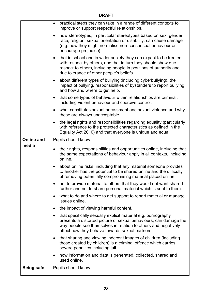|                   | practical steps they can take in a range of different contexts to<br>٠<br>improve or support respectful relationships.                                                                                                                                               |
|-------------------|----------------------------------------------------------------------------------------------------------------------------------------------------------------------------------------------------------------------------------------------------------------------|
|                   | how stereotypes, in particular stereotypes based on sex, gender,<br>race, religion, sexual orientation or disability, can cause damage<br>(e.g. how they might normalise non-consensual behaviour or<br>encourage prejudice).                                        |
|                   | that in school and in wider society they can expect to be treated<br>with respect by others, and that in turn they should show due<br>respect to others, including people in positions of authority and<br>due tolerance of other people's beliefs.                  |
|                   | about different types of bullying (including cyberbullying), the<br>impact of bullying, responsibilities of bystanders to report bullying<br>and how and where to get help.                                                                                          |
|                   | that some types of behaviour within relationships are criminal,<br>including violent behaviour and coercive control.                                                                                                                                                 |
|                   | what constitutes sexual harassment and sexual violence and why<br>these are always unacceptable.                                                                                                                                                                     |
|                   | the legal rights and responsibilities regarding equality (particularly<br>with reference to the protected characteristics as defined in the<br>Equality Act 2010) and that everyone is unique and equal.                                                             |
| <b>Online and</b> | Pupils should know                                                                                                                                                                                                                                                   |
| media             | their rights, responsibilities and opportunities online, including that<br>the same expectations of behaviour apply in all contexts, including<br>online.                                                                                                            |
|                   | about online risks, including that any material someone provides<br>to another has the potential to be shared online and the difficulty<br>of removing potentially compromising material placed online.                                                              |
|                   | not to provide material to others that they would not want shared<br>$\bullet$<br>further and not to share personal material which is sent to them.                                                                                                                  |
|                   | what to do and where to get support to report material or manage<br>٠<br>issues online.                                                                                                                                                                              |
|                   | the impact of viewing harmful content.<br>$\bullet$                                                                                                                                                                                                                  |
|                   | that specifically sexually explicit material e.g. pornography<br>$\bullet$<br>presents a distorted picture of sexual behaviours, can damage the<br>way people see themselves in relation to others and negatively<br>affect how they behave towards sexual partners. |
|                   | that sharing and viewing indecent images of children (including<br>٠<br>those created by children) is a criminal offence which carries<br>severe penalties including jail.                                                                                           |
|                   | how information and data is generated, collected, shared and<br>٠<br>used online.                                                                                                                                                                                    |
|                   |                                                                                                                                                                                                                                                                      |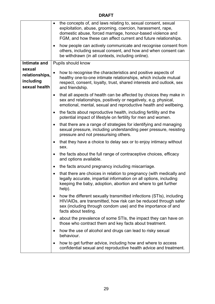|                                                        | the concepts of, and laws relating to, sexual consent, sexual<br>exploitation, abuse, grooming, coercion, harassment, rape,<br>domestic abuse, forced marriage, honour-based violence and<br>FGM, and how these can affect current and future relationships.<br>how people can actively communicate and recognise consent from<br>$\bullet$<br>others, including sexual consent, and how and when consent can<br>be withdrawn (in all contexts, including online). |
|--------------------------------------------------------|--------------------------------------------------------------------------------------------------------------------------------------------------------------------------------------------------------------------------------------------------------------------------------------------------------------------------------------------------------------------------------------------------------------------------------------------------------------------|
| <b>Intimate and</b>                                    | Pupils should know                                                                                                                                                                                                                                                                                                                                                                                                                                                 |
| sexual<br>relationships,<br>including<br>sexual health | how to recognise the characteristics and positive aspects of<br>healthy one-to-one intimate relationships, which include mutual<br>respect, consent, loyalty, trust, shared interests and outlook, sex<br>and friendship.                                                                                                                                                                                                                                          |
|                                                        | that all aspects of health can be affected by choices they make in<br>٠<br>sex and relationships, positively or negatively, e.g. physical,<br>emotional, mental, sexual and reproductive health and wellbeing.                                                                                                                                                                                                                                                     |
|                                                        | the facts about reproductive health, including fertility and the<br>$\bullet$<br>potential impact of lifestyle on fertility for men and women.                                                                                                                                                                                                                                                                                                                     |
|                                                        | that there are a range of strategies for identifying and managing<br>sexual pressure, including understanding peer pressure, resisting<br>pressure and not pressurising others.                                                                                                                                                                                                                                                                                    |
|                                                        | that they have a choice to delay sex or to enjoy intimacy without<br>٠<br>sex.                                                                                                                                                                                                                                                                                                                                                                                     |
|                                                        | the facts about the full range of contraceptive choices, efficacy<br>and options available.                                                                                                                                                                                                                                                                                                                                                                        |
|                                                        | the facts around pregnancy including miscarriage.<br>$\bullet$                                                                                                                                                                                                                                                                                                                                                                                                     |
|                                                        | that there are choices in relation to pregnancy (with medically and<br>legally accurate, impartial information on all options, including<br>keeping the baby, adoption, abortion and where to get further<br>help).                                                                                                                                                                                                                                                |
|                                                        | how the different sexually transmitted infections (STIs), including<br>HIV/AIDs, are transmitted, how risk can be reduced through safer<br>sex (including through condom use) and the importance of and<br>facts about testing.                                                                                                                                                                                                                                    |
|                                                        | about the prevalence of some STIs, the impact they can have on<br>$\bullet$<br>those who contract them and key facts about treatment.                                                                                                                                                                                                                                                                                                                              |
|                                                        | how the use of alcohol and drugs can lead to risky sexual<br>behaviour.                                                                                                                                                                                                                                                                                                                                                                                            |
|                                                        | how to get further advice, including how and where to access<br>$\bullet$<br>confidential sexual and reproductive health advice and treatment.                                                                                                                                                                                                                                                                                                                     |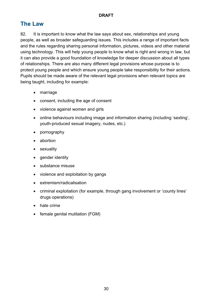### <span id="page-29-0"></span>**The Law**

82. It is important to know what the law says about sex, relationships and young people, as well as broader safeguarding issues. This includes a range of important facts and the rules regarding sharing personal information, pictures, videos and other material using technology. This will help young people to know what is right and wrong in law, but it can also provide a good foundation of knowledge for deeper discussion about all types of relationships. There are also many different legal provisions whose purpose is to protect young people and which ensure young people take responsibility for their actions. Pupils should be made aware of the relevant legal provisions when relevant topics are being taught, including for example:

- marriage
- consent, including the age of consent
- violence against women and girls
- online behaviours including image and information sharing (including 'sexting', youth-produced sexual imagery, nudes, etc.)
- pornography
- abortion
- sexuality
- gender identity
- substance misuse
- violence and exploitation by gangs
- extremism/radicalisation
- criminal exploitation (for example, through gang involvement or 'county lines' drugs operations)
- hate crime
- female genital mutilation (FGM)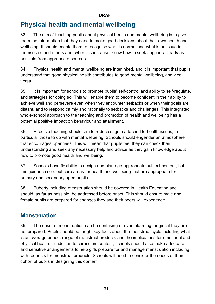# <span id="page-30-0"></span>**Physical health and mental wellbeing**

83. The aim of teaching pupils about physical health and mental wellbeing is to give them the information that they need to make good decisions about their own health and wellbeing. It should enable them to recognise what is normal and what is an issue in themselves and others and, when issues arise, know how to seek support as early as possible from appropriate sources.

84. Physical health and mental wellbeing are interlinked, and it is important that pupils understand that good physical health contributes to good mental wellbeing, and vice versa.

85. It is important for schools to promote pupils' self-control and ability to self-regulate, and strategies for doing so. This will enable them to become confident in their ability to achieve well and persevere even when they encounter setbacks or when their goals are distant, and to respond calmly and rationally to setbacks and challenges. This integrated, whole-school approach to the teaching and promotion of health and wellbeing has a potential positive impact on behaviour and attainment.

86. Effective teaching should aim to reduce stigma attached to health issues, in particular those to do with mental wellbeing. Schools should engender an atmosphere that encourages openness. This will mean that pupils feel they can check their understanding and seek any necessary help and advice as they gain knowledge about how to promote good health and wellbeing.

87. Schools have flexibility to design and plan age-appropriate subject content, but this guidance sets out core areas for health and wellbeing that are appropriate for primary and secondary aged pupils.

88. Puberty including menstruation should be covered in Health Education and should, as far as possible, be addressed before onset. This should ensure male and female pupils are prepared for changes they and their peers will experience.

### <span id="page-30-1"></span>**Menstruation**

89. The onset of menstruation can be confusing or even alarming for girls if they are not prepared. Pupils should be taught key facts about the menstrual cycle including what is an average period, range of menstrual products and the implications for emotional and physical health. In addition to curriculum content, schools should also make adequate and sensitive arrangements to help girls prepare for and manage menstruation including with requests for menstrual products. Schools will need to consider the needs of their cohort of pupils in designing this content.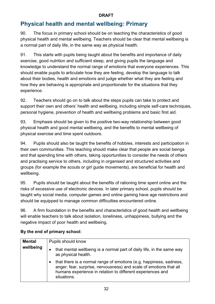### <span id="page-31-0"></span>**Physical health and mental wellbeing: Primary**

90. The focus in primary school should be on teaching the characteristics of good physical health and mental wellbeing. Teachers should be clear that mental wellbeing is a normal part of daily life, in the same way as physical health.

91. This starts with pupils being taught about the benefits and importance of daily exercise, good nutrition and sufficient sleep, and giving pupils the language and knowledge to understand the normal range of emotions that everyone experiences. This should enable pupils to articulate how they are feeling, develop the language to talk about their bodies, health and emotions and judge whether what they are feeling and how they are behaving is appropriate and proportionate for the situations that they experience.

92. Teachers should go on to talk about the steps pupils can take to protect and support their own and others' health and wellbeing, including simple self-care techniques, personal hygiene, prevention of health and wellbeing problems and basic first aid.

93. Emphasis should be given to the positive two-way relationship between good physical health and good mental wellbeing, and the benefits to mental wellbeing of physical exercise and time spent outdoors.

94. Pupils should also be taught the benefits of hobbies, interests and participation in their own communities. This teaching should make clear that people are social beings and that spending time with others, taking opportunities to consider the needs of others and practising service to others, including in organised and structured activities and groups (for example the scouts or girl guide movements), are beneficial for health and wellbeing.

95. Pupils should be taught about the benefits of rationing time spent online and the risks of excessive use of electronic devices. In later primary school, pupils should be taught why social media, computer games and online gaming have age restrictions and should be equipped to manage common difficulties encountered online.

96. A firm foundation in the benefits and characteristics of good health and wellbeing will enable teachers to talk about isolation, loneliness, unhappiness, bullying and the negative impact of poor health and wellbeing.

| <b>Mental</b> | Pupils should know                                                                                                                                                                                                    |
|---------------|-----------------------------------------------------------------------------------------------------------------------------------------------------------------------------------------------------------------------|
| wellbeing     | that mental wellbeing is a normal part of daily life, in the same way<br>$\bullet$<br>as physical health.                                                                                                             |
|               | that there is a normal range of emotions (e.g. happiness, sadness,<br>anger, fear, surprise, nervousness) and scale of emotions that all<br>humans experience in relation to different experiences and<br>situations. |

#### **By the end of primary school:**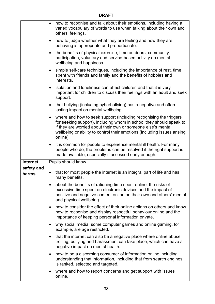|                     | how to recognise and talk about their emotions, including having a<br>varied vocabulary of words to use when talking about their own and<br>others' feelings.                                                                                                                                                 |
|---------------------|---------------------------------------------------------------------------------------------------------------------------------------------------------------------------------------------------------------------------------------------------------------------------------------------------------------|
|                     | how to judge whether what they are feeling and how they are<br>$\bullet$<br>behaving is appropriate and proportionate.                                                                                                                                                                                        |
|                     | the benefits of physical exercise, time outdoors, community<br>participation, voluntary and service-based activity on mental<br>wellbeing and happiness.                                                                                                                                                      |
|                     | simple self-care techniques, including the importance of rest, time<br>spent with friends and family and the benefits of hobbies and<br>interests.                                                                                                                                                            |
|                     | isolation and loneliness can affect children and that it is very<br>important for children to discuss their feelings with an adult and seek<br>support.                                                                                                                                                       |
|                     | that bullying (including cyberbullying) has a negative and often<br>$\bullet$<br>lasting impact on mental wellbeing.                                                                                                                                                                                          |
|                     | where and how to seek support (including recognising the triggers<br>$\bullet$<br>for seeking support), including whom in school they should speak to<br>if they are worried about their own or someone else's mental<br>wellbeing or ability to control their emotions (including issues arising<br>online). |
|                     | it is common for people to experience mental ill health. For many<br>$\bullet$<br>people who do, the problems can be resolved if the right support is<br>made available, especially if accessed early enough.                                                                                                 |
| Internet            | Pupils should know                                                                                                                                                                                                                                                                                            |
| safety and<br>harms | that for most people the internet is an integral part of life and has<br>$\bullet$<br>many benefits.                                                                                                                                                                                                          |
|                     | about the benefits of rationing time spent online, the risks of<br>excessive time spent on electronic devices and the impact of<br>positive and negative content online on their own and others' mental<br>and physical wellbeing.                                                                            |
|                     | how to consider the effect of their online actions on others and know<br>$\bullet$<br>how to recognise and display respectful behaviour online and the<br>importance of keeping personal information private.                                                                                                 |
|                     | why social media, some computer games and online gaming, for<br>$\bullet$<br>example, are age restricted.                                                                                                                                                                                                     |
|                     | that the internet can also be a negative place where online abuse,<br>trolling, bullying and harassment can take place, which can have a<br>negative impact on mental health.                                                                                                                                 |
|                     | how to be a discerning consumer of information online including<br>٠<br>understanding that information, including that from search engines,<br>is ranked, selected and targeted.                                                                                                                              |
|                     | where and how to report concerns and get support with issues<br>online.                                                                                                                                                                                                                                       |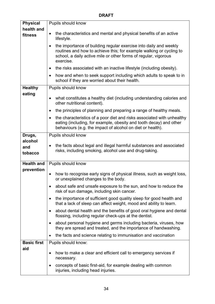| <b>Physical</b>    | Pupils should know                                                                                                                                                                                                                    |
|--------------------|---------------------------------------------------------------------------------------------------------------------------------------------------------------------------------------------------------------------------------------|
| health and         |                                                                                                                                                                                                                                       |
| fitness            | the characteristics and mental and physical benefits of an active<br>lifestyle.                                                                                                                                                       |
|                    | the importance of building regular exercise into daily and weekly<br>$\bullet$<br>routines and how to achieve this; for example walking or cycling to<br>school, a daily active mile or other forms of regular, vigorous<br>exercise. |
|                    | the risks associated with an inactive lifestyle (including obesity).                                                                                                                                                                  |
|                    | how and when to seek support including which adults to speak to in<br>school if they are worried about their health.                                                                                                                  |
| <b>Healthy</b>     | Pupils should know                                                                                                                                                                                                                    |
| eating             |                                                                                                                                                                                                                                       |
|                    | what constitutes a healthy diet (including understanding calories and<br>other nutritional content).                                                                                                                                  |
|                    | the principles of planning and preparing a range of healthy meals.                                                                                                                                                                    |
|                    | the characteristics of a poor diet and risks associated with unhealthy<br>٠<br>eating (including, for example, obesity and tooth decay) and other<br>behaviours (e.g. the impact of alcohol on diet or health).                       |
| Drugs,             | Pupils should know                                                                                                                                                                                                                    |
| alcohol            |                                                                                                                                                                                                                                       |
| and<br>tobacco     | the facts about legal and illegal harmful substances and associated<br>$\bullet$<br>risks, including smoking, alcohol use and drug-taking.                                                                                            |
| <b>Health and</b>  | Pupils should know                                                                                                                                                                                                                    |
| prevention         | how to recognise early signs of physical illness, such as weight loss,<br>$\bullet$<br>or unexplained changes to the body.                                                                                                            |
|                    | about safe and unsafe exposure to the sun, and how to reduce the<br>risk of sun damage, including skin cancer.                                                                                                                        |
|                    | the importance of sufficient good quality sleep for good health and<br>that a lack of sleep can affect weight, mood and ability to learn.                                                                                             |
|                    | about dental health and the benefits of good oral hygiene and dental<br>٠<br>flossing, including regular check-ups at the dentist.                                                                                                    |
|                    | about personal hygiene and germs including bacteria, viruses, how<br>they are spread and treated, and the importance of handwashing.                                                                                                  |
|                    | the facts and science relating to immunisation and vaccination                                                                                                                                                                        |
| <b>Basic first</b> | Pupils should know:                                                                                                                                                                                                                   |
| aid                |                                                                                                                                                                                                                                       |
|                    | how to make a clear and efficient call to emergency services if<br>necessary.                                                                                                                                                         |
|                    | concepts of basic first-aid, for example dealing with common<br>injuries, including head injuries.                                                                                                                                    |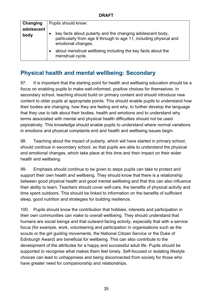| Changing           | Pupils should know:                                                                                                                                  |
|--------------------|------------------------------------------------------------------------------------------------------------------------------------------------------|
| adolescent<br>body | key facts about puberty and the changing adolescent body,<br>particularly from age 9 through to age 11, including physical and<br>emotional changes. |
|                    | about menstrual wellbeing including the key facts about the<br>menstrual cycle.                                                                      |

### <span id="page-34-0"></span>**Physical health and mental wellbeing: Secondary**

97. It is important that the starting point for health and wellbeing education should be a focus on enabling pupils to make well-informed, positive choices for themselves. In secondary school, teaching should build on primary content and should introduce new content to older pupils at appropriate points. This should enable pupils to understand how their bodies are changing, how they are feeling and why, to further develop the language that they use to talk about their bodies, health and emotions and to understand why terms associated with mental and physical health difficulties should not be used pejoratively. This knowledge should enable pupils to understand where normal variations in emotions and physical complaints end and health and wellbeing issues begin.

98. Teaching about the impact of puberty, which will have started in primary school, should continue in secondary school, so that pupils are able to understand the physical and emotional changes, which take place at this time and their impact on their wider health and wellbeing.

99. Emphasis should continue to be given to steps pupils can take to protect and support their own health and wellbeing. They should know that there is a relationship between good physical health and good mental wellbeing and that this can also influence their ability to learn. Teachers should cover self-care, the benefits of physical activity and time spent outdoors. This should be linked to information on the benefits of sufficient sleep, good nutrition and strategies for building resilience.

100. Pupils should know the contribution that hobbies, interests and participation in their own communities can make to overall wellbeing. They should understand that humans are social beings and that outward-facing activity, especially that with a service focus (for example, work, volunteering and participation in organisations such as the scouts or the girl guiding movements, the National Citizen Service or the Duke of Edinburgh Award) are beneficial for wellbeing. This can also contribute to the development of the attributes for a happy and successful adult life. Pupils should be supported to recognise what makes them feel lonely. Self-focused or isolating lifestyle choices can lead to unhappiness and being disconnected from society for those who have greater need for companionship and relationships.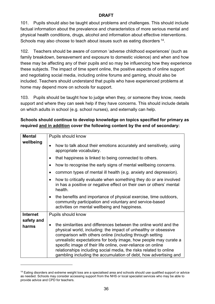101. Pupils should also be taught about problems and challenges. This should include factual information about the prevalence and characteristics of more serious mental and physical health conditions, drugs, alcohol and information about effective interventions. Schools may also choose to teach about issues such as eating disorders <sup>14</sup>.

102. Teachers should be aware of common 'adverse childhood experiences' (such as family breakdown, bereavement and exposure to domestic violence) and when and how these may be affecting any of their pupils and so may be influencing how they experience these subjects. The impact of time spent online, the positive aspects of online support and negotiating social media, including online forums and gaming, should also be included. Teachers should understand that pupils who have experienced problems at home may depend more on schools for support.

103. Pupils should be taught how to judge when they, or someone they know, needs support and where they can seek help if they have concerns. This should include details on which adults in school (e.g. school nurses), and externally can help.

| <b>Mental</b>   | Pupils should know                                                                                                                                                                                                                                                                                                                                                                                                                                                                 |
|-----------------|------------------------------------------------------------------------------------------------------------------------------------------------------------------------------------------------------------------------------------------------------------------------------------------------------------------------------------------------------------------------------------------------------------------------------------------------------------------------------------|
| wellbeing       | how to talk about their emotions accurately and sensitively, using<br>$\bullet$<br>appropriate vocabulary.                                                                                                                                                                                                                                                                                                                                                                         |
|                 | that happiness is linked to being connected to others.<br>$\bullet$                                                                                                                                                                                                                                                                                                                                                                                                                |
|                 | how to recognise the early signs of mental wellbeing concerns.<br>$\bullet$                                                                                                                                                                                                                                                                                                                                                                                                        |
|                 | common types of mental ill health (e.g. anxiety and depression).<br>$\bullet$                                                                                                                                                                                                                                                                                                                                                                                                      |
|                 | how to critically evaluate when something they do or are involved<br>$\bullet$<br>in has a positive or negative effect on their own or others' mental<br>health.                                                                                                                                                                                                                                                                                                                   |
|                 | the benefits and importance of physical exercise, time outdoors,<br>$\bullet$<br>community participation and voluntary and service-based<br>activities on mental wellbeing and happiness.                                                                                                                                                                                                                                                                                          |
| <b>Internet</b> | Pupils should know                                                                                                                                                                                                                                                                                                                                                                                                                                                                 |
| safety and      |                                                                                                                                                                                                                                                                                                                                                                                                                                                                                    |
| harms           | the similarities and differences between the online world and the<br>٠<br>physical world, including: the impact of unhealthy or obsessive<br>comparison with others online (including through setting<br>unrealistic expectations for body image, how people may curate a<br>specific image of their life online, over-reliance on online<br>relationships including social media, the risks related to online<br>gambling including the accumulation of debt, how advertising and |

**Schools should continue to develop knowledge on topics specified for primary as required and in addition cover the following content by the end of secondary:** 

<sup>&</sup>lt;sup>14</sup> Eating disorders and extreme weight loss are a specialised area and schools should use qualified support or advice as needed. Schools may consider accessing support from the NHS or local specialist services who may be able to provide advice and CPD for teachers.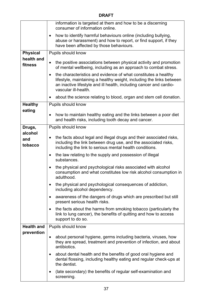|                           | information is targeted at them and how to be a discerning<br>consumer of information online.                                                                                                                                             |
|---------------------------|-------------------------------------------------------------------------------------------------------------------------------------------------------------------------------------------------------------------------------------------|
|                           | how to identify harmful behaviours online (including bullying,<br>$\bullet$<br>abuse or harassment) and how to report, or find support, if they<br>have been affected by those behaviours.                                                |
| <b>Physical</b>           | Pupils should know                                                                                                                                                                                                                        |
| health and<br>fitness     | the positive associations between physical activity and promotion<br>$\bullet$<br>of mental wellbeing, including as an approach to combat stress.                                                                                         |
|                           | the characteristics and evidence of what constitutes a healthy<br>٠<br>lifestyle, maintaining a healthy weight, including the links between<br>an inactive lifestyle and ill health, including cancer and cardio-<br>vascular ill-health. |
|                           | about the science relating to blood, organ and stem cell donation.<br>$\bullet$                                                                                                                                                           |
| <b>Healthy</b><br>eating  | Pupils should know                                                                                                                                                                                                                        |
|                           | how to maintain healthy eating and the links between a poor diet<br>٠<br>and health risks, including tooth decay and cancer.                                                                                                              |
| Drugs,                    | Pupils should know                                                                                                                                                                                                                        |
| alcohol<br>and<br>tobacco | the facts about legal and illegal drugs and their associated risks,<br>$\bullet$<br>including the link between drug use, and the associated risks,<br>including the link to serious mental health conditions.                             |
|                           | the law relating to the supply and possession of illegal<br>٠<br>substances.                                                                                                                                                              |
|                           | the physical and psychological risks associated with alcohol<br>$\bullet$<br>consumption and what constitutes low risk alcohol consumption in<br>adulthood.                                                                               |
|                           | the physical and psychological consequences of addiction,<br>٠<br>including alcohol dependency.                                                                                                                                           |
|                           | awareness of the dangers of drugs which are prescribed but still<br>٠<br>present serious health risks.                                                                                                                                    |
|                           | the facts about the harms from smoking tobacco (particularly the<br>٠<br>link to lung cancer), the benefits of quitting and how to access<br>support to do so.                                                                            |
| <b>Health and</b>         | Pupils should know                                                                                                                                                                                                                        |
| prevention                | about personal hygiene, germs including bacteria, viruses, how<br>٠<br>they are spread, treatment and prevention of infection, and about<br>antibiotics.                                                                                  |
|                           | about dental health and the benefits of good oral hygiene and<br>٠<br>dental flossing, including healthy eating and regular check-ups at<br>the dentist.                                                                                  |
|                           | (late secondary) the benefits of regular self-examination and<br>screening.                                                                                                                                                               |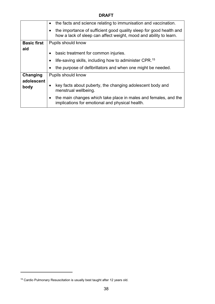|                    | the facts and science relating to immunisation and vaccination.<br>$\bullet$                                                             |
|--------------------|------------------------------------------------------------------------------------------------------------------------------------------|
|                    | the importance of sufficient good quality sleep for good health and<br>how a lack of sleep can affect weight, mood and ability to learn. |
| <b>Basic first</b> | Pupils should know                                                                                                                       |
| aid                |                                                                                                                                          |
|                    | basic treatment for common injuries.<br>٠                                                                                                |
|                    | life-saving skills, including how to administer CPR. <sup>15</sup>                                                                       |
|                    | the purpose of defibrillators and when one might be needed.                                                                              |
| Changing           | Pupils should know                                                                                                                       |
| adolescent         |                                                                                                                                          |
| body               | key facts about puberty, the changing adolescent body and<br>menstrual wellbeing.                                                        |
|                    | the main changes which take place in males and females, and the<br>$\bullet$<br>implications for emotional and physical health.          |

 $\overline{a}$ 

<sup>15</sup> Cardio Pulmonary Resuscitation is usually best taught after 12 years old.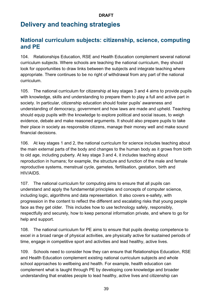# <span id="page-38-0"></span>**Delivery and teaching strategies**

### <span id="page-38-1"></span>**National curriculum subjects: citizenship, science, computing and PE**

104. Relationships Education, RSE and Health Education complement several national curriculum subjects. Where schools are teaching the national curriculum, they should look for opportunities to draw links between the subjects and integrate teaching where appropriate. There continues to be no right of withdrawal from any part of the national curriculum.

105. The national curriculum for citizenship at key stages 3 and 4 aims to provide pupils with knowledge, skills and understanding to prepare them to play a full and active part in society. In particular, citizenship education should foster pupils' awareness and understanding of democracy, government and how laws are made and upheld. Teaching should equip pupils with the knowledge to explore political and social issues, to weigh evidence, debate and make reasoned arguments. It should also prepare pupils to take their place in society as responsible citizens, manage their money well and make sound financial decisions.

106. At key stages 1 and 2, the national curriculum for science includes teaching about the main external parts of the body and changes to the human body as it grows from birth to old age, including puberty. At key stage 3 and 4, it includes teaching about reproduction in humans; for example, the structure and function of the male and female reproductive systems, menstrual cycle, gametes, fertilisation, gestation, birth and HIV/AIDS.

107. The national curriculum for computing aims to ensure that all pupils can understand and apply the fundamental principles and concepts of computer science, including logic, algorithms and data representation. It also covers e-safety, with progression in the content to reflect the different and escalating risks that young people face as they get older. This includes how to use technology safely, responsibly, respectfully and securely, how to keep personal information private, and where to go for help and support.

108. The national curriculum for PE aims to ensure that pupils develop competence to excel in a broad range of physical activities, are physically active for sustained periods of time, engage in competitive sport and activities and lead healthy, active lives.

109. Schools need to consider how they can ensure that Relationships Education, RSE and Health Education complement existing national curriculum subjects and whole school approaches to wellbeing and health. For example, health education can complement what is taught through PE by developing core knowledge and broader understanding that enables people to lead healthy, active lives and citizenship can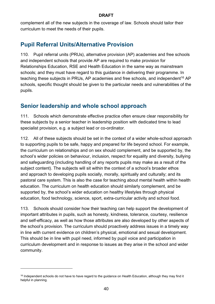complement all of the new subjects in the coverage of law. Schools should tailor their curriculum to meet the needs of their pupils.

# <span id="page-39-0"></span>**Pupil Referral Units/Alternative Provision**

110. Pupil referral units (PRUs), alternative provision (AP) academies and free schools and independent schools that provide AP are required to make provision for Relationships Education, RSE and Health Education in the same way as mainstream schools; and they must have regard to this guidance in delivering their programme. In teaching these subjects in PRUs, AP academies and free schools, and independent<sup>16</sup> AP schools, specific thought should be given to the particular needs and vulnerabilities of the pupils.

### <span id="page-39-1"></span>**Senior leadership and whole school approach**

111. Schools which demonstrate effective practice often ensure clear responsibility for these subjects by a senior teacher in leadership position with dedicated time to lead specialist provision, e.g. a subject lead or co-ordinator.

112. All of these subjects should be set in the context of a wider whole-school approach to supporting pupils to be safe, happy and prepared for life beyond school. For example, the curriculum on relationships and on sex should complement, and be supported by, the school's wider policies on behaviour, inclusion, respect for equality and diversity, bullying and safeguarding (including handling of any reports pupils may make as a result of the subject content). The subjects will sit within the context of a school's broader ethos and approach to developing pupils socially, morally, spiritually and culturally; and its pastoral care system. This is also the case for teaching about mental health within health education. The curriculum on health education should similarly complement, and be supported by, the school's wider education on healthy lifestyles through physical education, food technology, science, sport, extra-curricular activity and school food.

113. Schools should consider how their teaching can help support the development of important attributes in pupils, such as honesty, kindness, tolerance, courtesy, resilience and self-efficacy, as well as how those attributes are also developed by other aspects of the school's provision. The curriculum should proactively address issues in a timely way in line with current evidence on children's physical, emotional and sexual development. This should be in line with pupil need, informed by pupil voice and participation in curriculum development and in response to issues as they arise in the school and wider community.

 $\overline{a}$ 

<sup>&</sup>lt;sup>16</sup> Independent schools do not have to have regard to the guidance on Health Education, although they may find it helpful in planning.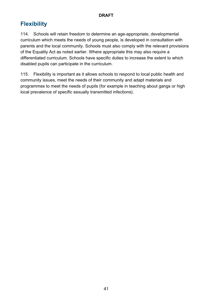# <span id="page-40-0"></span>**Flexibility**

114. Schools will retain freedom to determine an age-appropriate, developmental curriculum which meets the needs of young people, is developed in consultation with parents and the local community. Schools must also comply with the relevant provisions of the Equality Act as noted earlier. Where appropriate this may also require a differentiated curriculum. Schools have specific duties to increase the extent to which disabled pupils can participate in the curriculum.

115. Flexibility is important as it allows schools to respond to local public health and community issues, meet the needs of their community and adapt materials and programmes to meet the needs of pupils (for example in teaching about gangs or high local prevalence of specific sexually transmitted infections).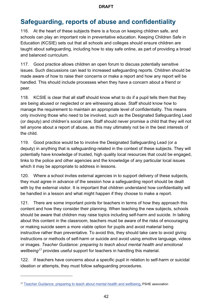# <span id="page-41-0"></span>**Safeguarding, reports of abuse and confidentiality**

116. At the heart of these subjects there is a focus on keeping children safe, and schools can play an important role in preventative education. [Keeping Children Safe in](https://www.gov.uk/government/publications/keeping-children-safe-in-education--2)  [Education](https://www.gov.uk/government/publications/keeping-children-safe-in-education--2) (KCSIE) sets out that all schools and colleges should ensure children are taught about safeguarding, including how to stay safe online, as part of providing a broad and balanced curriculum.

117. Good practice allows children an open forum to discuss potentially sensitive issues. Such discussions can lead to increased safeguarding reports. Children should be made aware of how to raise their concerns or make a report and how any report will be handled. This should include processes when they have a concern about a friend or peer.

118. KCSIE is clear that all staff should know what to do if a pupil tells them that they are being abused or neglected or are witnessing abuse. Staff should know how to manage the requirement to maintain an appropriate level of confidentiality. This means only involving those who need to be involved, such as the Designated Safeguarding Lead (or deputy) and children's social care. Staff should never promise a child that they will not tell anyone about a report of abuse, as this may ultimately not be in the best interests of the child.

119. Good practice would be to involve the Designated Safeguarding Lead (or a deputy) in anything that is safeguarding-related in the context of these subjects. They will potentially have knowledge of trusted, high quality local resources that could be engaged, links to the police and other agencies and the knowledge of any particular local issues which it may be appropriate to address in lessons.

120. Where a school invites external agencies in to support delivery of these subjects, they must agree in advance of the session how a safeguarding report should be dealt with by the external visitor. It is important that children understand how confidentiality will be handled in a lesson and what might happen if they choose to make a report.

121. There are some important points for teachers in terms of how they approach this content and how they consider their planning. When teaching the new subjects, schools should be aware that children may raise topics including self-harm and suicide. In talking about this content in the classroom, teachers must be aware of the risks of encouraging or making suicide seem a more viable option for pupils and avoid material being instructive rather than preventative. To avoid this, they should take care to avoid giving instructions or methods of self-harm or suicide and avoid using emotive language, videos or images. *Teacher Guidance: preparing to teach about mental health and emotional wellbeing17* provides useful support for teachers in handling this material.

122. If teachers have concerns about a specific pupil in relation to self-harm or suicidal ideation or attempts, they must follow safeguarding procedures.

 $\overline{a}$ 

<sup>17</sup> [Teacher Guidance: preparing to teach about mental health and wellbeing,](https://www.pshe-association.org.uk/system/files/Mental%20health%20guidance_0.pdf) PSHE association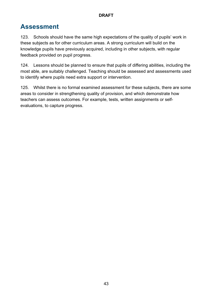## <span id="page-42-0"></span>**Assessment**

123. Schools should have the same high expectations of the quality of pupils' work in these subjects as for other curriculum areas. A strong curriculum will build on the knowledge pupils have previously acquired, including in other subjects, with regular feedback provided on pupil progress.

124. Lessons should be planned to ensure that pupils of differing abilities, including the most able, are suitably challenged. Teaching should be assessed and assessments used to identify where pupils need extra support or intervention.

125. Whilst there is no formal examined assessment for these subjects, there are some areas to consider in strengthening quality of provision, and which demonstrate how teachers can assess outcomes. For example, tests, written assignments or selfevaluations, to capture progress.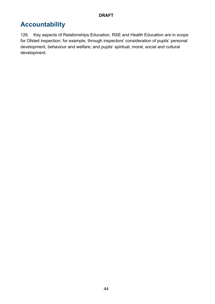# <span id="page-43-0"></span>**Accountability**

126. Key aspects of Relationships Education, RSE and Health Education are in scope for Ofsted inspection; for example, through inspectors' consideration of pupils' personal development, behaviour and welfare; and pupils' spiritual, moral, social and cultural development.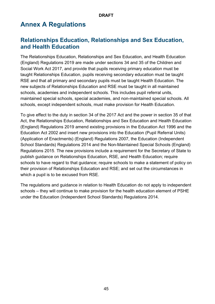# <span id="page-44-0"></span>**Annex A Regulations**

### **Relationships Education, Relationships and Sex Education, and Health Education**

The Relationships Education, Relationships and Sex Education, and Health Education (England) Regulations 2019 are made under sections 34 and 35 of the Children and Social Work Act 2017, and provide that pupils receiving primary education must be taught Relationships Education, pupils receiving secondary education must be taught RSE and that all primary and secondary pupils must be taught Health Education. The new subjects of Relationships Education and RSE must be taught in all maintained schools, academies and independent schools. This includes pupil referral units, maintained special schools, special academies, and non-maintained special schools. All schools, except independent schools, must make provision for Health Education.

To give effect to the duty in section 34 of the 2017 Act and the power in section 35 of that Act, the Relationships Education, Relationships and Sex Education and Health Education (England) Regulations 2019 amend existing provisions in the Education Act 1996 and the Education Act 2002 and insert new provisions into the Education (Pupil Referral Units) (Application of Enactments) (England) Regulations 2007, the Education (Independent School Standards) Regulations 2014 and the Non-Maintained Special Schools (England) Regulations 2015. The new provisions include a requirement for the Secretary of State to publish guidance on Relationships Education, RSE, and Health Education; require schools to have regard to that guidance; require schools to make a statement of policy on their provision of Relationships Education and RSE; and set out the circumstances in which a pupil is to be excused from RSE.

The regulations and guidance in relation to Health Education do not apply to independent schools – they will continue to make provision for the health education element of PSHE under the Education (Independent School Standards) Regulations 2014.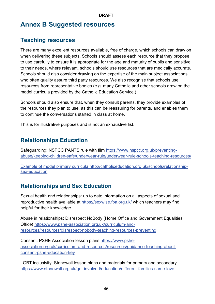# <span id="page-45-0"></span>**Annex B Suggested resources**

### **Teaching resources**

There are many excellent resources available, free of charge, which schools can draw on when delivering these subjects. Schools should assess each resource that they propose to use carefully to ensure it is appropriate for the age and maturity of pupils and sensitive to their needs, where relevant, schools should use resources that are medically accurate. Schools should also consider drawing on the expertise of the main subject associations who often quality assure third party resources. We also recognise that schools use resources from representative bodies (e.g. many Catholic and other schools draw on the model curricula provided by the Catholic Education Service.)

Schools should also ensure that, when they consult parents, they provide examples of the resources they plan to use, as this can be reassuring for parents, and enables them to continue the conversations started in class at home.

This is for illustrative purposes and is not an exhaustive list.

### **Relationships Education**

Safeguarding: NSPCC PANTS rule with film [https://www.nspcc.org.uk/preventing](https://www.nspcc.org.uk/preventing-abuse/keeping-children-safe/underwear-rule/underwear-rule-schools-teaching-resources/)[abuse/keeping-children-safe/underwear-rule/underwear-rule-schools-teaching-resources/](https://www.nspcc.org.uk/preventing-abuse/keeping-children-safe/underwear-rule/underwear-rule-schools-teaching-resources/) 

Example of model primary curricula http://catholiceducation.org.uk/schools/relationshipsex-education

### **Relationships and Sex Education**

Sexual health and relationships: up to date information on all aspects of sexual and reproductive health available at<https://sexwise.fpa.org.uk/> which teachers may find helpful for their knowledge

Abuse in relationships: Disrespect NoBody (Home Office and Government Equalities Office) [https://www.pshe-association.org.uk/curriculum-and](https://www.pshe-association.org.uk/curriculum-and-resources/resources/disrespect-nobody-teaching-resources-preventing)[resources/resources/disrespect-nobody-teaching-resources-preventing](https://www.pshe-association.org.uk/curriculum-and-resources/resources/disrespect-nobody-teaching-resources-preventing)

Consent: PSHE Association lesson plans [https://www.pshe](https://www.pshe-association.org.uk/curriculum-and-resources/resources/guidance-teaching-about-consent-pshe-education-key)[association.org.uk/curriculum-and-resources/resources/guidance-teaching-about](https://www.pshe-association.org.uk/curriculum-and-resources/resources/guidance-teaching-about-consent-pshe-education-key)[consent-pshe-education-key](https://www.pshe-association.org.uk/curriculum-and-resources/resources/guidance-teaching-about-consent-pshe-education-key)

LGBT inclusivity: Stonewall lesson plans and materials for primary and secondary <https://www.stonewall.org.uk/get-involved/education/different-families-same-love>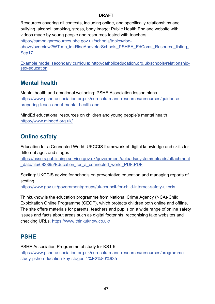Resources covering all contexts, including online, and specifically relationships and bullying, alcohol, smoking, stress, body image: Public Health England website with videos made by young people and resources tested with teachers [https://campaignresources.phe.gov.uk/schools/topics/rise](https://campaignresources.phe.gov.uk/schools/topics/rise-above/overview?WT.mc_id=RiseAboveforSchools_PSHEA_EdComs_Resource_listing_Sep17)above/overview?WT.mc\_id=RiseAboveforSchools\_PSHEA\_EdComs\_Resource\_listing [Sep17](https://campaignresources.phe.gov.uk/schools/topics/rise-above/overview?WT.mc_id=RiseAboveforSchools_PSHEA_EdComs_Resource_listing_Sep17)

Example model secondary curricula: http://catholiceducation.org.uk/schools/relationshipsex-education

### **Mental health**

Mental health and emotional wellbeing: PSHE Association lesson plans [https://www.pshe-association.org.uk/curriculum-and-resources/resources/guidance](https://www.pshe-association.org.uk/curriculum-and-resources/resources/guidance-preparing-teach-about-mental-health-and)[preparing-teach-about-mental-health-and](https://www.pshe-association.org.uk/curriculum-and-resources/resources/guidance-preparing-teach-about-mental-health-and)

MindEd educational resources on children and young people's mental health https://www.minded.org.uk/

# **Online safety**

Education for a Connected World: UKCCIS framework of digital knowledge and skills for different ages and stages

[https://assets.publishing.service.gov.uk/government/uploads/system/uploads/attachment](https://assets.publishing.service.gov.uk/government/uploads/system/uploads/attachment_data/file/683895/Education_for_a_connected_world_PDF.PDF) data/file/683895/Education for a connected world PDF.PDF

Sexting: UKCCIS advice for schools on preventative education and managing reports of sexting.

<https://www.gov.uk/government/groups/uk-council-for-child-internet-safety-ukccis>

Thinkuknow is the education programme from National Crime Agency (NCA)-Child Exploitation Online Programme (CEOP), which protects children both online and offline. The site offers materials for parents, teachers and pupils on a wide range of online safety issues and facts about areas such as digital footprints, recognising fake websites and checking URLs.<https://www.thinkuknow.co.uk/>

### **PSHE**

PSHE Association Programme of study for KS1-5 [https://www.pshe-association.org.uk/curriculum-and-resources/resources/programme](https://www.pshe-association.org.uk/curriculum-and-resources/resources/programme-study-pshe-education-key-stages-1%E2%80%935)[study-pshe-education-key-stages-1%E2%80%935](https://www.pshe-association.org.uk/curriculum-and-resources/resources/programme-study-pshe-education-key-stages-1%E2%80%935)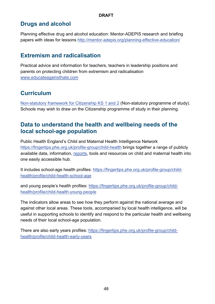### **Drugs and alcohol**

Planning effective drug and alcohol education: Mentor-ADEPIS research and briefing papers with ideas for lessons<http://mentor-adepis.org/planning-effective-education/>

### **Extremism and radicalisation**

Practical advice and information for teachers, teachers in leadership positions and parents on protecting children from extremism and radicalisation [www.educateagainsthate.com](http://www.educateagainsthate.com/)

### **Curriculum**

[Non-statutory framework for Citizenship KS 1 and 2](https://www.gov.uk/government/uploads/system/uploads/attachment_data/file/402173/Programme_of_Study_KS1_and_2.pdf) (Non-statutory programme of study). Schools may wish to draw on the Citizenship programme of study in their planning.

### **Data to understand the health and wellbeing needs of the local school-age population**

Public Health England's Child and Maternal Health Intelligence Network <https://fingertips.phe.org.uk/profile-group/child-health> brings together a range of publicly available data, information, [reports,](https://fingertips.phe.org.uk/profile-group/child-health/profile/child-health-overview/data#page/13) tools and resources on child and maternal health into one easily accessible hub.

It includes school-age health profiles: [https://fingertips.phe.org.uk/profile-group/child](https://fingertips.phe.org.uk/profile-group/child-health/profile/child-health-school-age)[health/profile/child-health-school-age](https://fingertips.phe.org.uk/profile-group/child-health/profile/child-health-school-age)

and young people's health profiles: [https://fingertips.phe.org.uk/profile-group/child](https://fingertips.phe.org.uk/profile-group/child-health/profile/child-health-young-people)[health/profile/child-health-young-people](https://fingertips.phe.org.uk/profile-group/child-health/profile/child-health-young-people)

The indicators allow areas to see how they perform against the national average and against other local areas. These tools, accompanied by local health intelligence, will be useful in supporting schools to identify and respond to the particular health and wellbeing needs of their local school-age population.

There are also early years profiles: [https://fingertips.phe.org.uk/profile-group/child](https://fingertips.phe.org.uk/profile-group/child-health/profile/child-health-early-years)[health/profile/child-health-early-years](https://fingertips.phe.org.uk/profile-group/child-health/profile/child-health-early-years)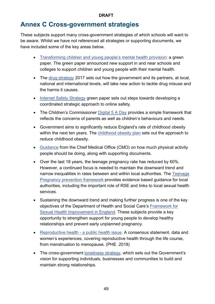# <span id="page-48-0"></span>**Annex C Cross-government strategies**

These subjects support many cross-government strategies of which schools will want to be aware. Whilst we have not referenced all strategies or supporting documents, we have included some of the key areas below.

- [Transforming children and young people's mental health provision:](https://assets.publishing.service.gov.uk/government/uploads/system/uploads/attachment_data/file/664855/Transforming_children_and_young_people_s_mental_health_provision.pdf) a green paper. The green paper announced new support in and near schools and colleges to support children and young people with their mental health.
- The [drug strategy](https://www.gov.uk/government/publications/drug-strategy-2017) 2017 sets out how the government and its partners, at local, national and international levels, will take new action to tackle drug misuse and the harms it causes.
- [Internet Safety Strategy](https://assets.publishing.service.gov.uk/government/uploads/system/uploads/attachment_data/file/650949/Internet_Safety_Strategy_green_paper.pdf) green paper sets out steps towards developing a coordinated strategic approach to online safety.
- The Children's Commissioner [Digital 5 A Day](https://www.childrenscommissioner.gov.uk/2017/08/06/digital-5-a-day/) provides a simple framework that reflects the concerns of parents as well as children's behaviours and needs.
- Government aims to significantly reduce England's rate of childhood obesity within the next ten years. The [childhood obesity plan](https://www.gov.uk/government/publications/childhood-obesity-a-plan-for-action/childhood-obesity-a-plan-for-action) sets out the approach to reduce childhood obesity.
- [Guidance](https://www.gov.uk/government/publications/uk-physical-activity-guidelines) from the Chief Medical Office (CMO) on how much physical activity people should be doing, along with supporting documents.
- Over the last 18 years, the teenage pregnancy rate has reduced by 60%. However, a continued focus is needed to maintain the downward trend and narrow inequalities in rates between and within local authorities. The Teenage [Pregnancy prevention framework](https://assets.publishing.service.gov.uk/government/uploads/system/uploads/attachment_data/file/708932/teenage_pregnancy_prevention_framework.pdf) provides evidence based guidance for local authorities, including the important role of RSE and links to local sexual health services.
- Sustaining the downward trend and making further progress is one of the key objectives of the Department of Health and Social Care's [Framework for](https://www.gov.uk/government/publications/a-framework-for-sexual-health-improvement-in-england)  [Sexual Health Improvement in England.](https://www.gov.uk/government/publications/a-framework-for-sexual-health-improvement-in-england) These subjects provide a key opportunity to strengthen support for young people to develop healthy relationships and prevent early unplanned pregnancy.
- [Reproductive health a public health issue.](https://www.gov.uk/government/publications/reproductive-health-what-women-say) A consensus statement, data and women's experiences, covering reproductive health through the life course, from menstruation to menopause. (PHE. 2018)
- The cross-government [loneliness strategy,](https://www.gov.uk/government/publications/a-connected-society-a-strategy-for-tackling-loneliness) which sets out the Government's vision for supporting individuals, businesses and communities to build and maintain strong relationships.